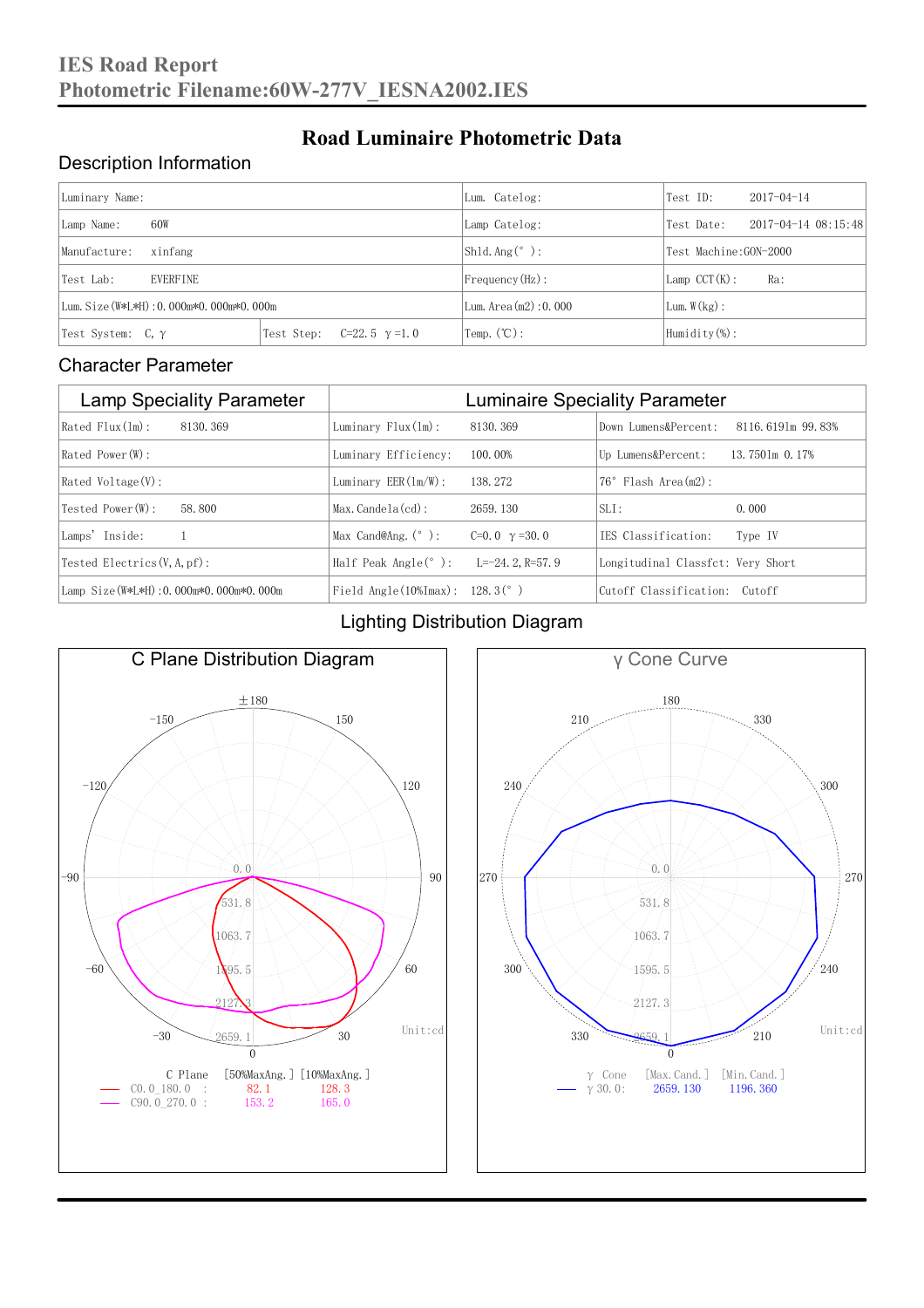### Description Information

| Luminary Name:                          |                                     | Lum. Catelog:                | Test ID:              | $2017 - 04 - 14$            |  |
|-----------------------------------------|-------------------------------------|------------------------------|-----------------------|-----------------------------|--|
| 60W<br>Lamp Name:                       |                                     | Lamp Catelog:                | Test Date:            | $2017 - 04 - 14$ $08:15:48$ |  |
| Manufacture:<br>xinfang                 |                                     | $Shld$ Ang(°):               | Test Machine:GON-2000 |                             |  |
| <b>EVERFINE</b><br>Test Lab:            |                                     | $Frequency(Hz)$ :            | $Lamp$ CCT(K):        | Ra:                         |  |
| Lum. Size (W*L*H): 0.000m*0.000m*0.000m |                                     | Lum. Area $(m2)$ : 0.000     | Lum. $W(kg)$ :        |                             |  |
| Test System: $C, \gamma$                | Test Step:<br>$C=22.5$ $\gamma=1.0$ | $\text{Temp.} (\text{°C})$ : | Humidity $(\%)$ :     |                             |  |

**Road Luminaire Photometric Data**

#### Character Parameter

| <b>Lamp Speciality Parameter</b>       | <b>Luminaire Speciality Parameter</b>                              |                      |                                   |                     |  |
|----------------------------------------|--------------------------------------------------------------------|----------------------|-----------------------------------|---------------------|--|
| Rated Flux(1m):<br>8130.369            | Luminary $Flux(ln)$ :                                              | 8130, 369            | Down Lumens&Percent:              | 8116, 6191m 99, 83% |  |
| Rated Power(W):                        | Luminary Efficiency:                                               | 100.00%              | Up Lumens&Percent:                | 13.7501m 0.17%      |  |
| $Rated$ Voltage $(V)$ :                | Luminary $EER(\ln/W)$ :                                            | 138, 272             | Flash Area(m2):<br>76°            |                     |  |
| Tested Power (W):<br>58, 800           | $Max. Candela(cd)$ :                                               | 2659, 130            | $SLI$ :                           | 0.000               |  |
| Lamps' Inside:                         | Max Cand@Ang. $(°)$ :                                              | C=0.0 $\gamma$ =30.0 | IES Classification:               | Type IV             |  |
| Tested Electrics $(V, A, pf)$ :        | Half Peak Angle $(°)$ :                                            | L=-24. 2. R=57. 9    | Longitudinal Classfct: Very Short |                     |  |
| Lamp Size(W*L*H): 0.000m*0.000m*0.000m | Field Angle $(10\text{\%} \text{Im} \text{ax})$ : 128.3 $(^\circ)$ |                      | Cutoff Classification: Cutoff     |                     |  |

### Lighting Distribution Diagram



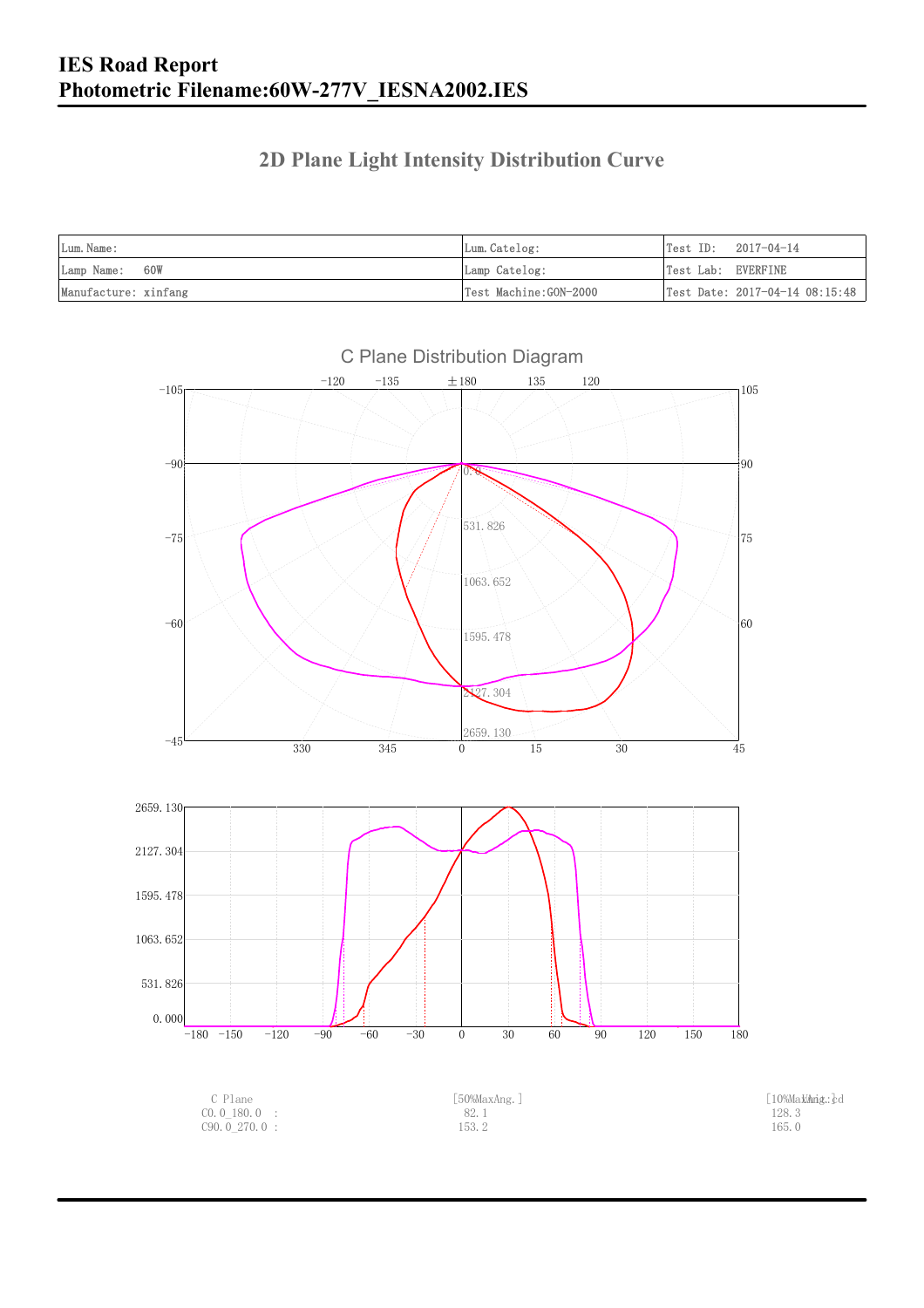### **2D Plane Light Intensity Distribution Curve**

| Lum. Name:           | Lum.Catelog:          | $Test ID: 2017-04-14$          |
|----------------------|-----------------------|--------------------------------|
| Lamp Name: 60W       | Lamp Catelog:         | Test Lab: EVERFINE             |
| Manufacture: xinfang | Test Machine:GON-2000 | Test Date: 2017-04-14 08:15:48 |

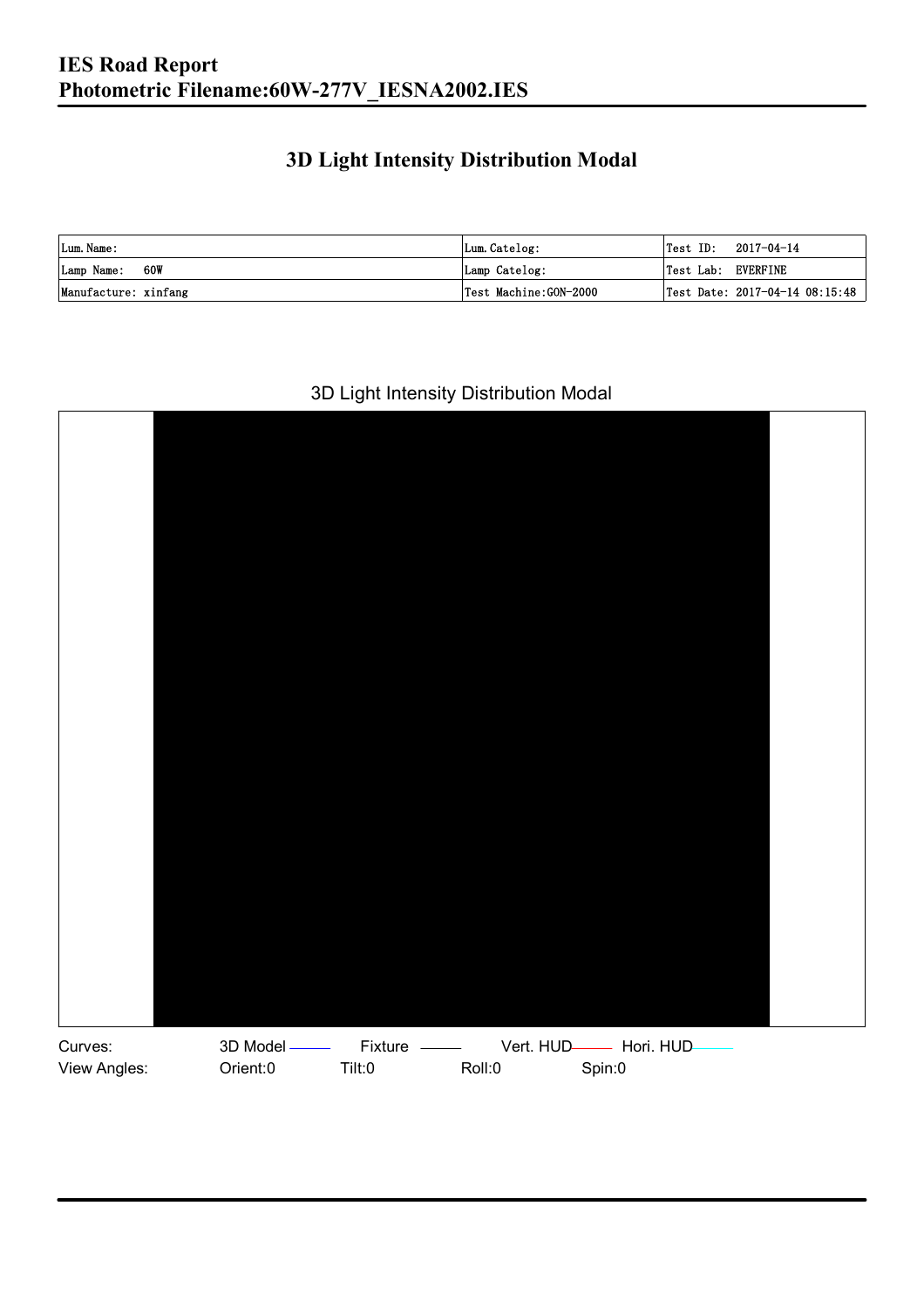### **3D Light Intensity Distribution Modal**

| Lum. Name:           | Lum.Catelog:          | $\textsf{Test ID:} \quad 2017-04-14$ |
|----------------------|-----------------------|--------------------------------------|
| 60W<br>Lamp Name:    | Lamp Catelog:         | Test Lab: EVERFINE                   |
| Manufacture: xinfang | Test Machine:GON-2000 | Test Date: 2017-04-14 08:15:48       |

#### 3D Light Intensity Distribution Modal

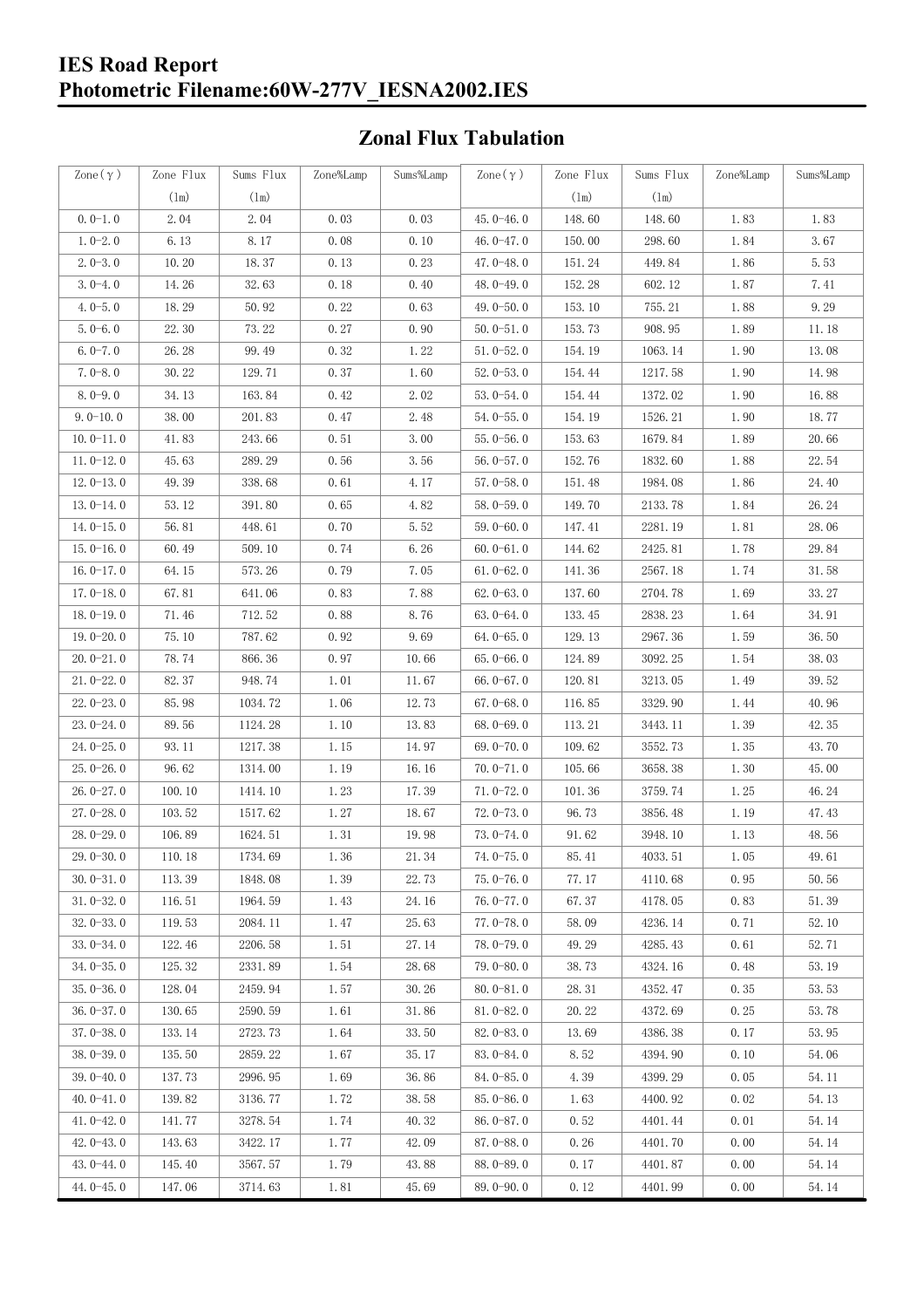## **Zonal Flux Tabulation**

| Zone $(\gamma)$ | Zone Flux     | Sums Flux | Zone%Lamp | Sums%Lamp | $\text{Zone}(\gamma)$ | Zone Flux | Sums Flux | Zone%Lamp            | Sums%Lamp |
|-----------------|---------------|-----------|-----------|-----------|-----------------------|-----------|-----------|----------------------|-----------|
|                 | $(\text{lm})$ | (1m)      |           |           |                       | (1m)      | (1m)      |                      |           |
| $0.0-1.0$       | 2.04          | 2.04      | 0.03      | 0.03      | $45.0 - 46.0$         | 148.60    | 148.60    | 1.83                 | 1.83      |
| $1.0 - 2.0$     | 6.13          | 8.17      | 0.08      | 0.10      | 46.0-47.0             | 150.00    | 298.60    | 1.84                 | 3.67      |
| $2.0 - 3.0$     | 10.20         | 18.37     | 0.13      | 0.23      | 47.0-48.0             | 151.24    | 449.84    | 1.86                 | 5.53      |
| $3.0 - 4.0$     | 14.26         | 32.63     | 0.18      | 0.40      | 48.0-49.0             | 152.28    | 602.12    | 1.87                 | 7.41      |
| $4.0 - 5.0$     | 18.29         | 50.92     | 0.22      | 0.63      | 49.0 $-50.0$          | 153.10    | 755.21    | 1.88                 | 9.29      |
| $5.0 - 6.0$     | 22.30         | 73.22     | 0.27      | 0.90      | $50.0 - 51.0$         | 153.73    | 908.95    | 1.89                 | 11.18     |
| $6.0 - 7.0$     | 26.28         | 99.49     | 0.32      | 1.22      | $51.0 - 52.0$         | 154.19    | 1063.14   | 1.90                 | 13.08     |
| $7.0 - 8.0$     | 30.22         | 129.71    | 0.37      | 1.60      | $52.0 - 53.0$         | 154.44    | 1217.58   | 1.90                 | 14.98     |
| $8.0 - 9.0$     | 34.13         | 163.84    | 0.42      | 2.02      | $53.0 - 54.0$         | 154.44    | 1372.02   | 1.90                 | 16.88     |
| $9.0 - 10.0$    | 38.00         | 201.83    | 0.47      | 2.48      | $54.0 - 55.0$         | 154.19    | 1526.21   | 1.90                 | 18.77     |
| $10.0 - 11.0$   | 41.83         | 243.66    | 0.51      | 3.00      | $55.0 - 56.0$         | 153.63    | 1679.84   | 1.89                 | 20.66     |
| $11.0 - 12.0$   | 45.63         | 289.29    | 0.56      | 3.56      | $56.0 - 57.0$         | 152.76    | 1832.60   | 1.88                 | 22.54     |
| $12.0 - 13.0$   | 49.39         | 338.68    | 0.61      | 4.17      | $57.0 - 58.0$         | 151.48    | 1984.08   | 1.86                 | 24.40     |
| $13.0 - 14.0$   | 53.12         | 391.80    | 0.65      | 4.82      | $58.0 - 59.0$         | 149.70    | 2133.78   | 1.84                 | 26.24     |
| $14.0 - 15.0$   | 56.81         | 448.61    | 0.70      | 5.52      | $59.0 - 60.0$         | 147.41    | 2281.19   | 1.81                 | 28.06     |
| $15.0 - 16.0$   | 60.49         | 509.10    | 0.74      | 6.26      | $60.0 - 61.0$         | 144.62    | 2425.81   | 1.78                 | 29.84     |
| $16.0 - 17.0$   | 64.15         | 573.26    | 0.79      | 7.05      | $61.0 - 62.0$         | 141.36    | 2567.18   | 1.74                 | 31.58     |
| $17.0 - 18.0$   | 67.81         | 641.06    | 0.83      | 7.88      | $62.0 - 63.0$         | 137.60    | 2704.78   | 1.69                 | 33.27     |
| $18.0 - 19.0$   | 71.46         | 712.52    | 0.88      | 8.76      | $63.0 - 64.0$         | 133.45    | 2838.23   | 1.64                 | 34.91     |
| $19.0 - 20.0$   | 75.10         | 787.62    | 0.92      | 9.69      | $64.0 - 65.0$         | 129.13    | 2967.36   | 1.59                 | 36.50     |
| $20.0 - 21.0$   | 78.74         | 866.36    | 0.97      | 10.66     | $65.0 - 66.0$         | 124.89    | 3092.25   | 1.54                 | 38.03     |
| $21.0 - 22.0$   | 82.37         | 948.74    | 1.01      | 11.67     | $66.0 - 67.0$         | 120.81    | 3213.05   | 1.49                 | 39.52     |
| $22.0 - 23.0$   | 85.98         | 1034.72   | 1.06      | 12.73     | $67.0 - 68.0$         | 116.85    | 3329.90   | 1.44                 | 40.96     |
| $23.0 - 24.0$   | 89.56         | 1124.28   | 1.10      | 13.83     | $68.0 - 69.0$         | 113.21    | 3443.11   | 1.39                 | 42.35     |
| $24.0 - 25.0$   | 93.11         | 1217.38   | 1.15      | 14.97     | 69.0-70.0             | 109.62    | 3552.73   | 1.35                 | 43.70     |
| $25.0 - 26.0$   | 96.62         | 1314.00   | 1.19      | 16.16     | $70.0 - 71.0$         | 105.66    | 3658.38   | 1.30                 | 45.00     |
| $26.0 - 27.0$   | 100.10        | 1414.10   | 1.23      | 17.39     | $71.0 - 72.0$         | 101.36    | 3759.74   | 1.25                 | 46.24     |
| $27.0 - 28.0$   | 103.52        | 1517.62   | 1.27      | 18.67     | $72.0 - 73.0$         | 96.73     | 3856.48   | 1.19                 | 47.43     |
| $28.0 - 29.0$   | 106.89        | 1624.51   | 1.31      | 19.98     | $73.0 - 74.0$         | 91.62     | 3948.10   | 1.13                 | 48.56     |
| 29.0-30.0       | 110.18        | 1734.69   | 1.36      | 21.34     | 74.0-75.0             | 85.41     | 4033.51   | $1.\,\allowbreak 05$ | 49.61     |
| $30.0 - 31.0$   | 113.39        | 1848.08   | 1.39      | 22.73     | $75.0 - 76.0$         | 77.17     | 4110.68   | 0.95                 | 50.56     |
| $31.0 - 32.0$   | 116.51        | 1964.59   | 1.43      | 24.16     | 76.0-77.0             | 67.37     | 4178.05   | 0.83                 | 51.39     |
| $32.0 - 33.0$   | 119.53        | 2084.11   | 1.47      | 25.63     | $77.0 - 78.0$         | 58.09     | 4236.14   | 0.71                 | 52.10     |
| $33.0 - 34.0$   | 122.46        | 2206.58   | 1.51      | 27.14     | 78.0-79.0             | 49.29     | 4285.43   | 0.61                 | 52.71     |
| $34.0 - 35.0$   | 125.32        | 2331.89   | 1.54      | 28.68     | 79.0-80.0             | 38.73     | 4324.16   | 0.48                 | 53.19     |
| $35.0 - 36.0$   | 128.04        | 2459.94   | 1.57      | 30.26     | $80.0 - 81.0$         | 28.31     | 4352.47   | 0.35                 | 53.53     |
| $36.0 - 37.0$   | 130.65        | 2590.59   | 1.61      | 31.86     | $81.0 - 82.0$         | 20.22     | 4372.69   | 0.25                 | 53.78     |
| $37.0 - 38.0$   | 133.14        | 2723.73   | 1.64      | 33.50     | $82.0 - 83.0$         | 13.69     | 4386.38   | 0.17                 | 53.95     |
| $38.0 - 39.0$   | 135.50        | 2859.22   | 1.67      | 35.17     | $83.0 - 84.0$         | 8.52      | 4394.90   | 0.10                 | 54.06     |
| $39.0 - 40.0$   | 137.73        | 2996.95   | 1.69      | 36.86     | 84.0-85.0             | 4.39      | 4399.29   | 0.05                 | 54.11     |
| $40.0 - 41.0$   | 139.82        | 3136.77   | 1.72      | 38.58     | 85.0-86.0             | 1.63      | 4400.92   | 0.02                 | 54.13     |
| $41.0 - 42.0$   | 141.77        | 3278.54   | 1.74      | 40.32     | $86.0 - 87.0$         | 0.52      | 4401.44   | 0.01                 | 54.14     |
| $42.0 - 43.0$   | 143.63        | 3422.17   | 1.77      | 42.09     | $87.0 - 88.0$         | 0.26      | 4401.70   | 0.00                 | 54.14     |
| $43.0 - 44.0$   | 145.40        | 3567.57   | 1.79      | 43.88     | 88.0-89.0             | 0.17      | 4401.87   | 0.00                 | 54.14     |
| $44.0 - 45.0$   | 147.06        | 3714.63   | 1.81      | 45.69     | $89.0 - 90.0$         | 0.12      | 4401.99   | 0.00                 | 54.14     |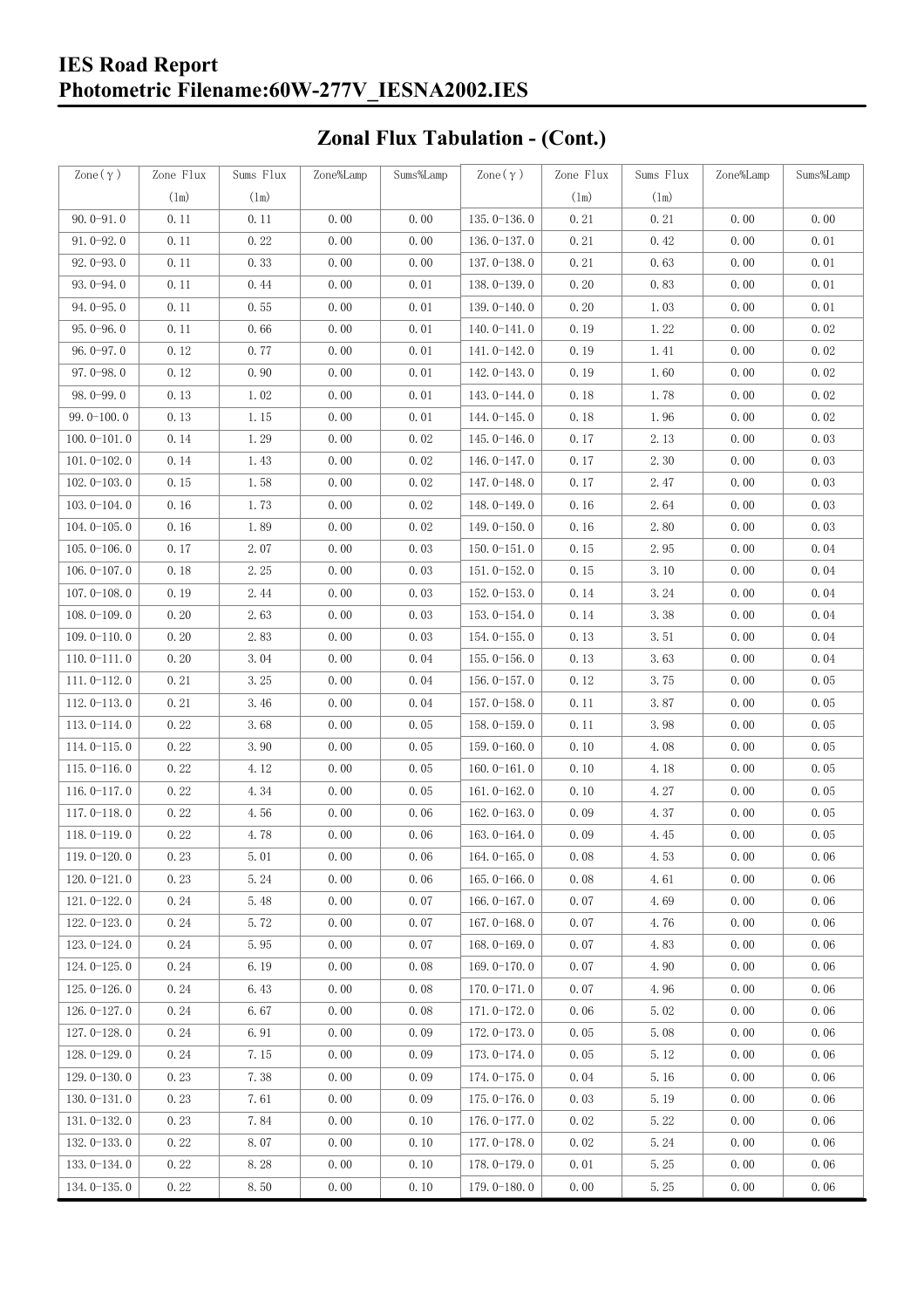# **Zonal Flux Tabulation - (Cont.)**

| Zone $(\gamma)$ | Zone Flux | Sums Flux | Zone%Lamp | Sums%Lamp | $\text{Zone}(\gamma)$ | Zone Flux | Sums Flux | Zone%Lamp | Sums%Lamp |
|-----------------|-----------|-----------|-----------|-----------|-----------------------|-----------|-----------|-----------|-----------|
|                 | (1m)      | (1m)      |           |           |                       | (1m)      | $(\ln)$   |           |           |
| $90.0 - 91.0$   | 0.11      | 0.11      | 0.00      | 0.00      | $135.0 - 136.0$       | 0.21      | 0.21      | 0.00      | 0.00      |
| $91.0 - 92.0$   | 0.11      | 0.22      | 0.00      | 0.00      | 136.0-137.0           | 0.21      | 0.42      | 0.00      | 0.01      |
| $92.0 - 93.0$   | 0.11      | 0.33      | 0.00      | 0.00      | 137.0-138.0           | 0.21      | 0.63      | 0.00      | 0.01      |
| 93.0-94.0       | 0.11      | 0.44      | 0.00      | 0.01      | 138.0-139.0           | 0.20      | 0.83      | 0.00      | 0.01      |
| $94.0 - 95.0$   | 0.11      | 0.55      | 0.00      | 0.01      | 139.0-140.0           | 0.20      | 1.03      | 0.00      | 0.01      |
| $95.0 - 96.0$   | 0.11      | 0.66      | 0.00      | 0.01      | $140.0 - 141.0$       | 0.19      | 1.22      | 0.00      | 0.02      |
| $96.0 - 97.0$   | 0.12      | 0.77      | 0.00      | 0.01      | 141.0-142.0           | 0.19      | 1.41      | 0.00      | 0.02      |
| $97.0 - 98.0$   | 0.12      | 0.90      | 0.00      | 0.01      | 142.0-143.0           | 0.19      | 1.60      | 0.00      | 0.02      |
| $98.0 - 99.0$   | 0.13      | 1.02      | 0.00      | 0.01      | 143.0-144.0           | 0.18      | 1.78      | 0.00      | 0.02      |
| $99.0 - 100.0$  | 0.13      | 1.15      | 0.00      | 0.01      | 144.0-145.0           | 0.18      | 1.96      | 0.00      | 0.02      |
| $100.0 - 101.0$ | 0.14      | 1.29      | 0.00      | 0.02      | $145.0 - 146.0$       | 0.17      | 2.13      | 0.00      | 0.03      |
| $101.0 - 102.0$ | 0.14      | 1.43      | 0.00      | 0.02      | 146.0-147.0           | 0.17      | 2.30      | 0.00      | 0.03      |
| $102.0 - 103.0$ | 0.15      | 1.58      | 0.00      | 0.02      | 147.0-148.0           | 0.17      | 2.47      | 0.00      | 0.03      |
| $103.0 - 104.0$ | 0.16      | 1.73      | 0.00      | 0.02      | 148.0-149.0           | 0.16      | 2.64      | 0.00      | 0.03      |
| $104.0 - 105.0$ | 0.16      | 1.89      | 0.00      | 0.02      | $149.0 - 150.0$       | 0.16      | 2.80      | 0.00      | 0.03      |
| $105.0 - 106.0$ | 0.17      | 2.07      | 0.00      | 0.03      | $150.0 - 151.0$       | 0.15      | 2.95      | 0.00      | 0.04      |
| $106.0 - 107.0$ | 0.18      | 2.25      | 0.00      | 0.03      | $151.0 - 152.0$       | 0.15      | 3.10      | 0.00      | 0.04      |
| $107.0 - 108.0$ | 0.19      | 2.44      | 0.00      | 0.03      | $152.0 - 153.0$       | 0.14      | 3.24      | 0.00      | 0.04      |
| $108.0 - 109.0$ | 0.20      | 2.63      | 0.00      | 0.03      | $153.0 - 154.0$       | 0.14      | 3.38      | 0.00      | 0.04      |
| $109.0 - 110.0$ | 0.20      | 2.83      | 0.00      | 0.03      | $154.0 - 155.0$       | 0.13      | 3.51      | 0.00      | 0.04      |
| $110.0 - 111.0$ | 0.20      | 3.04      | 0.00      | 0.04      | $155.0 - 156.0$       | 0.13      | 3.63      | 0.00      | 0.04      |
| $111.0 - 112.0$ | 0.21      | 3.25      | 0.00      | 0.04      | $156.0 - 157.0$       | 0.12      | 3.75      | 0.00      | 0.05      |
| $112.0 - 113.0$ | 0.21      | 3.46      | 0.00      | 0.04      | 157.0-158.0           | 0.11      | 3.87      | 0.00      | 0.05      |
| $113.0 - 114.0$ | 0.22      | 3.68      | 0.00      | 0.05      | $158.0 - 159.0$       | 0.11      | 3.98      | 0.00      | 0.05      |
| $114.0 - 115.0$ | 0.22      | 3.90      | 0.00      | 0.05      | $159.0 - 160.0$       | 0.10      | 4.08      | 0.00      | 0.05      |
| $115.0 - 116.0$ | 0.22      | 4.12      | 0.00      | 0.05      | $160.0 - 161.0$       | 0.10      | 4.18      | 0.00      | 0.05      |
| $116.0 - 117.0$ | 0.22      | 4.34      | 0.00      | 0.05      | $161.0 - 162.0$       | 0.10      | 4.27      | 0.00      | 0.05      |
| $117.0 - 118.0$ | 0.22      | 4.56      | 0.00      | 0.06      | $162.0 - 163.0$       | 0.09      | 4.37      | 0.00      | 0.05      |
| $118.0 - 119.0$ | 0.22      | 4.78      | 0.00      | 0.06      | $163.0 - 164.0$       | 0.09      | 4.45      | 0.00      | 0.05      |
| $119.0 - 120.0$ | 0.23      | 5.01      | 0.00      | 0.06      | 164.0-165.0           | 0.08      | 4.53      | 0.00      | $0.06\,$  |
| $120.0 - 121.0$ | 0.23      | 5.24      | 0.00      | 0.06      | $165.0 - 166.0$       | 0.08      | 4.61      | 0.00      | 0.06      |
| $121.0 - 122.0$ | 0.24      | 5.48      | 0.00      | 0.07      | $166.0 - 167.0$       | 0.07      | 4.69      | 0.00      | 0.06      |
| $122.0 - 123.0$ | 0.24      | 5.72      | 0.00      | 0.07      | $167.0 - 168.0$       | 0.07      | 4.76      | 0.00      | 0.06      |
| $123.0 - 124.0$ | 0.24      | 5.95      | 0.00      | 0.07      | $168.0 - 169.0$       | 0.07      | 4.83      | 0.00      | 0.06      |
| $124.0 - 125.0$ | 0.24      | 6.19      | 0.00      | 0.08      | 169.0-170.0           | 0.07      | 4.90      | 0.00      | 0.06      |
| $125.0 - 126.0$ | 0.24      | 6.43      | 0.00      | 0.08      | $170.0 - 171.0$       | 0.07      | 4.96      | 0.00      | 0.06      |
| $126.0 - 127.0$ | 0.24      | 6.67      | 0.00      | 0.08      | $171.0 - 172.0$       | 0.06      | 5.02      | 0.00      | 0.06      |
| $127.0 - 128.0$ | 0.24      | 6.91      | 0.00      | 0.09      | 172.0-173.0           | 0.05      | 5.08      | 0.00      | 0.06      |
| $128.0 - 129.0$ | 0.24      | 7.15      | 0.00      | 0.09      | 173.0-174.0           | 0.05      | 5.12      | 0.00      | 0.06      |
| $129.0 - 130.0$ | 0.23      | 7.38      | 0.00      | 0.09      | 174.0-175.0           | 0.04      | 5.16      | 0.00      | 0.06      |
| $130.0 - 131.0$ | 0.23      | 7.61      | 0.00      | 0.09      | $175.0 - 176.0$       | 0.03      | 5.19      | 0.00      | 0.06      |
| $131.0 - 132.0$ | 0.23      | 7.84      | 0.00      | 0.10      | 176.0-177.0           | 0.02      | 5.22      | 0.00      | 0.06      |
| $132.0 - 133.0$ | 0.22      | 8.07      | 0.00      | 0.10      | $177.0 - 178.0$       | 0.02      | 5.24      | 0.00      | 0.06      |
| $133.0 - 134.0$ | 0.22      | 8.28      | 0.00      | 0.10      | 178.0-179.0           | 0.01      | 5.25      | 0.00      | 0.06      |
| $134.0 - 135.0$ | 0.22      | 8.50      | 0.00      | 0.10      | $179.0 - 180.0$       | 0.00      | 5.25      | 0.00      | 0.06      |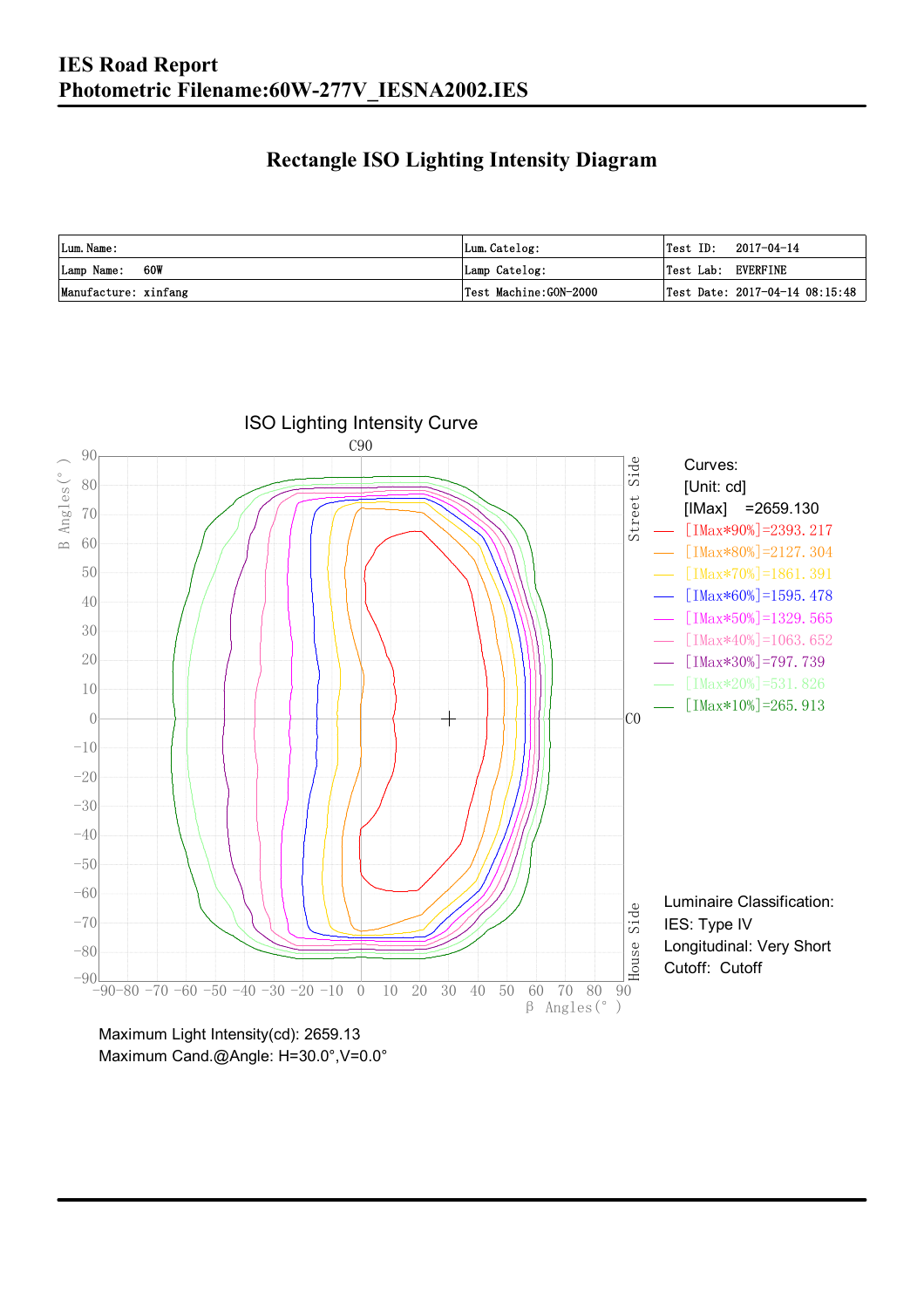### **Rectangle ISO Lighting Intensity Diagram**

| Lum. Name:           | Lum.Catelog:          | $\textsf{Test ID:} \quad 2017-04-14$ |
|----------------------|-----------------------|--------------------------------------|
| 60W<br>Lamp Name:    | Lamp Catelog:         | Test Lab: EVERFINE                   |
| Manufacture: xinfang | Test Machine:GON-2000 | Test Date: 2017-04-14 08:15:48       |



Maximum Cand.@Angle: H=30.0°,V=0.0°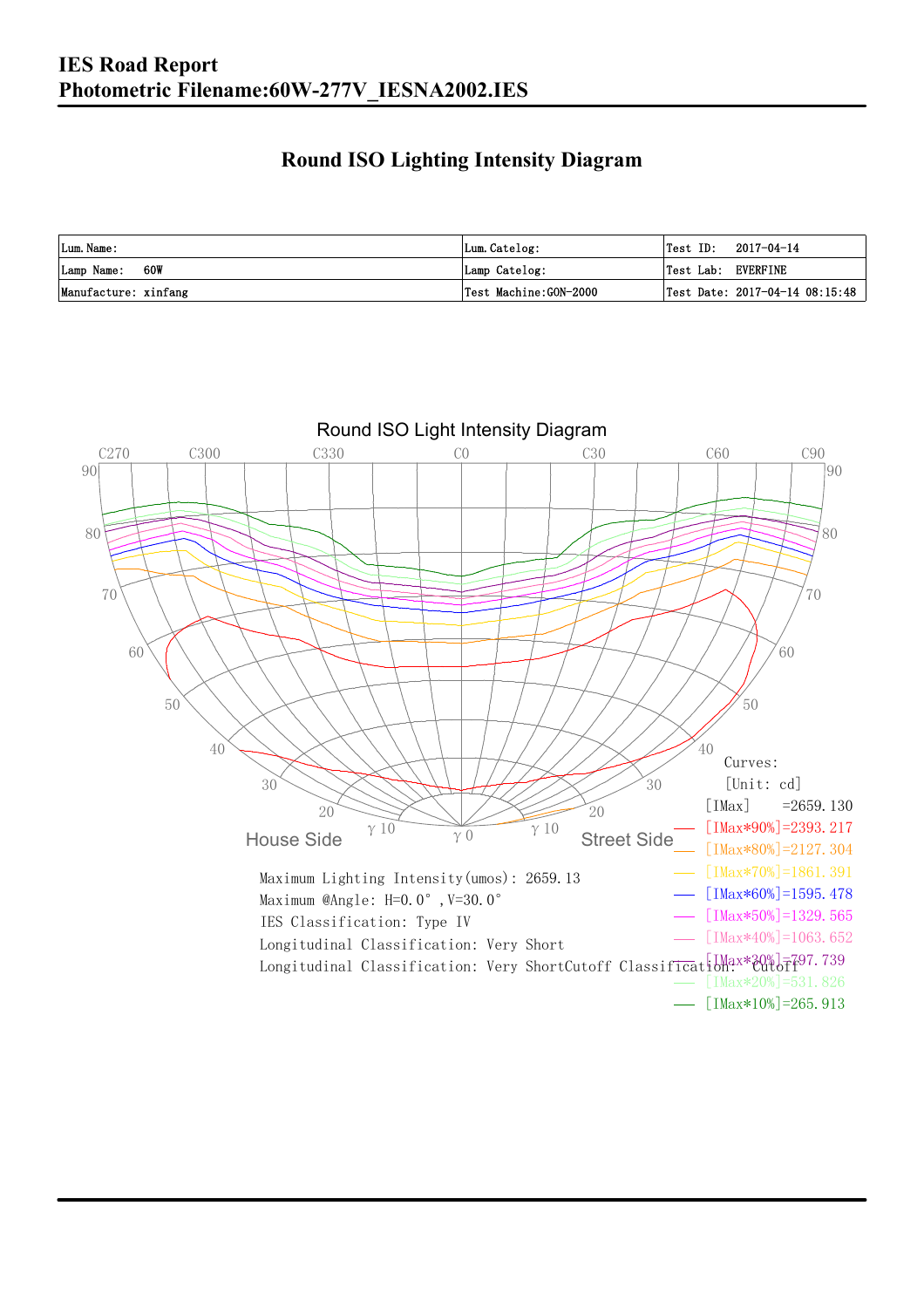### **Round ISO Lighting Intensity Diagram**

| Lum. Name:           | Lum.Catelog:          | Test ID:<br>2017-04-14         |
|----------------------|-----------------------|--------------------------------|
| 60W<br>Lamp Name:    | Lamp Catelog:         | Test Lab: EVERFINE             |
| Manufacture: xinfang | Test Machine:GON-2000 | Test Date: 2017-04-14 08:15:48 |

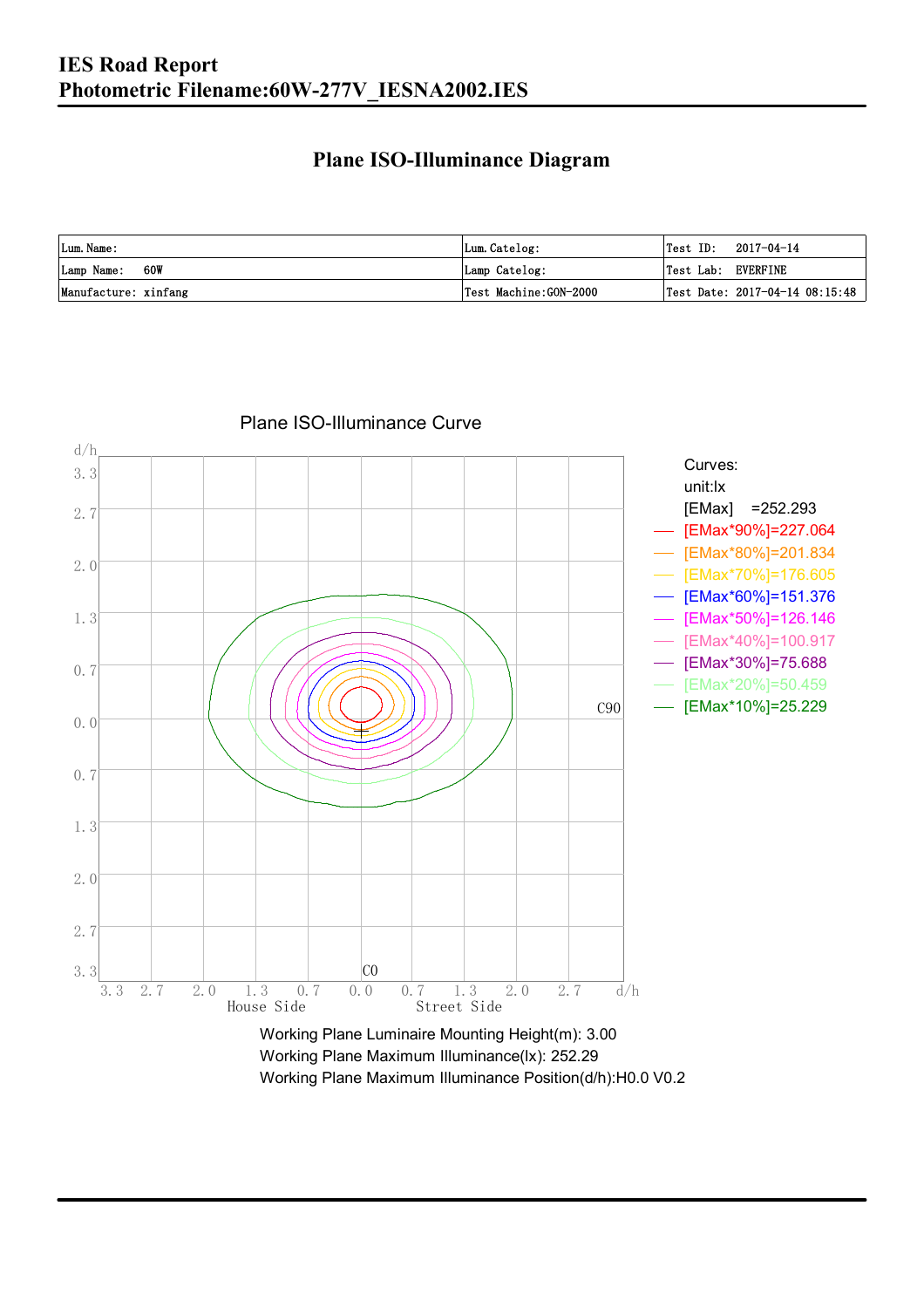### **Plane ISO-Illuminance Diagram**

| Lum. Name:           | Lum.Catelog:          | Test ID:<br>2017-04-14         |
|----------------------|-----------------------|--------------------------------|
| 60W<br>Lamp Name:    | Lamp Catelog:         | Test Lab: EVERFINE             |
| Manufacture: xinfang | Test Machine:GON-2000 | Test Date: 2017-04-14 08:15:48 |



#### Plane ISO-Illuminance Curve

Working Plane Maximum Illuminance(lx): 252.29 Working Plane Maximum Illuminance Position(d/h):H0.0 V0.2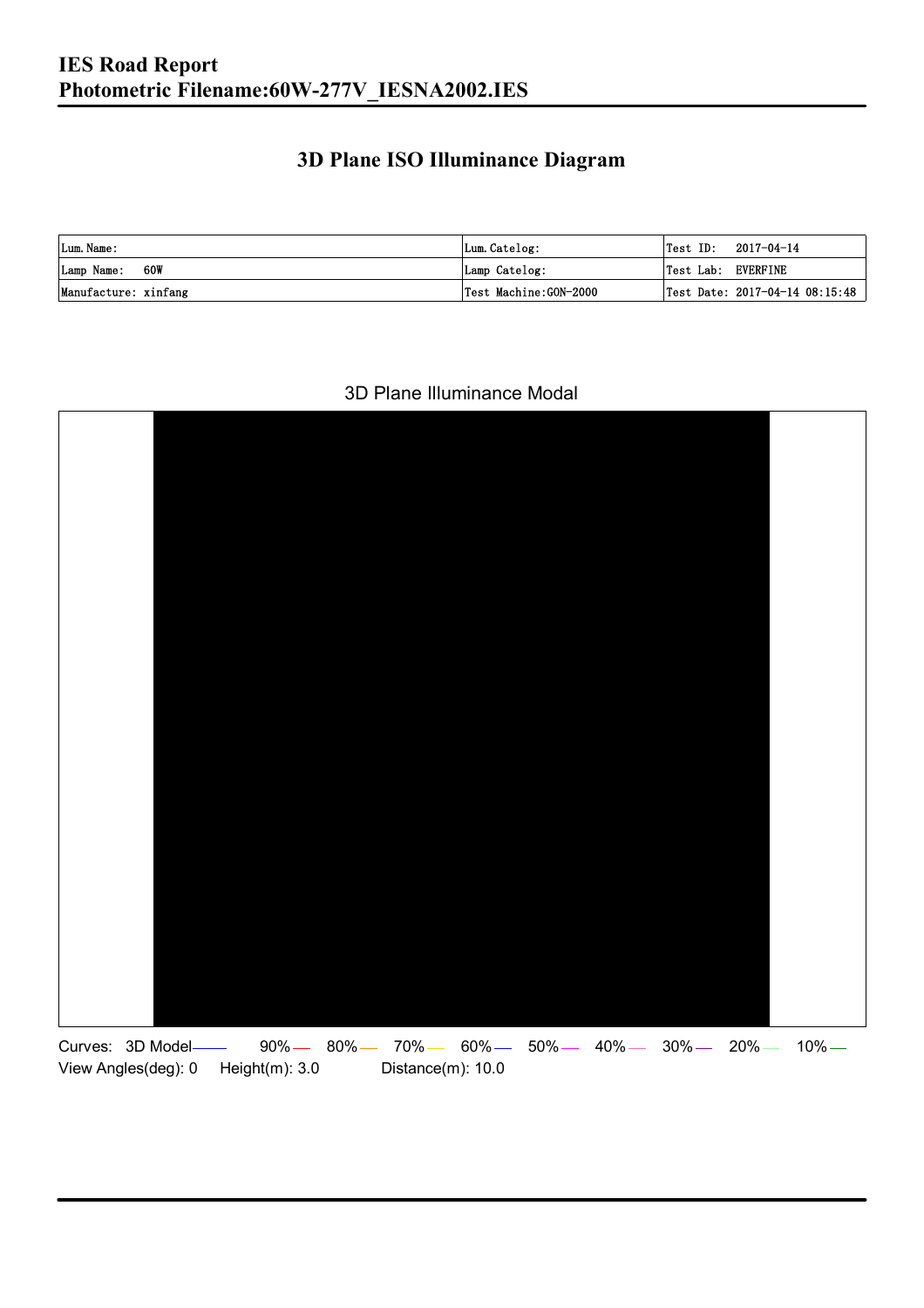### **3D Plane ISO Illuminance Diagram**

| Lum. Name:           | Lum.Catelog:          | $\textsf{Test ID:} \quad 2017-04-14$ |  |
|----------------------|-----------------------|--------------------------------------|--|
| Lamp Name: 60W       | Lamp Catelog:         | Test Lab: EVERFINE                   |  |
| Manufacture: xinfang | Test Machine:GON-2000 | Test Date: 2017-04-14 08:15:48       |  |

#### 3D Plane Illuminance Modal

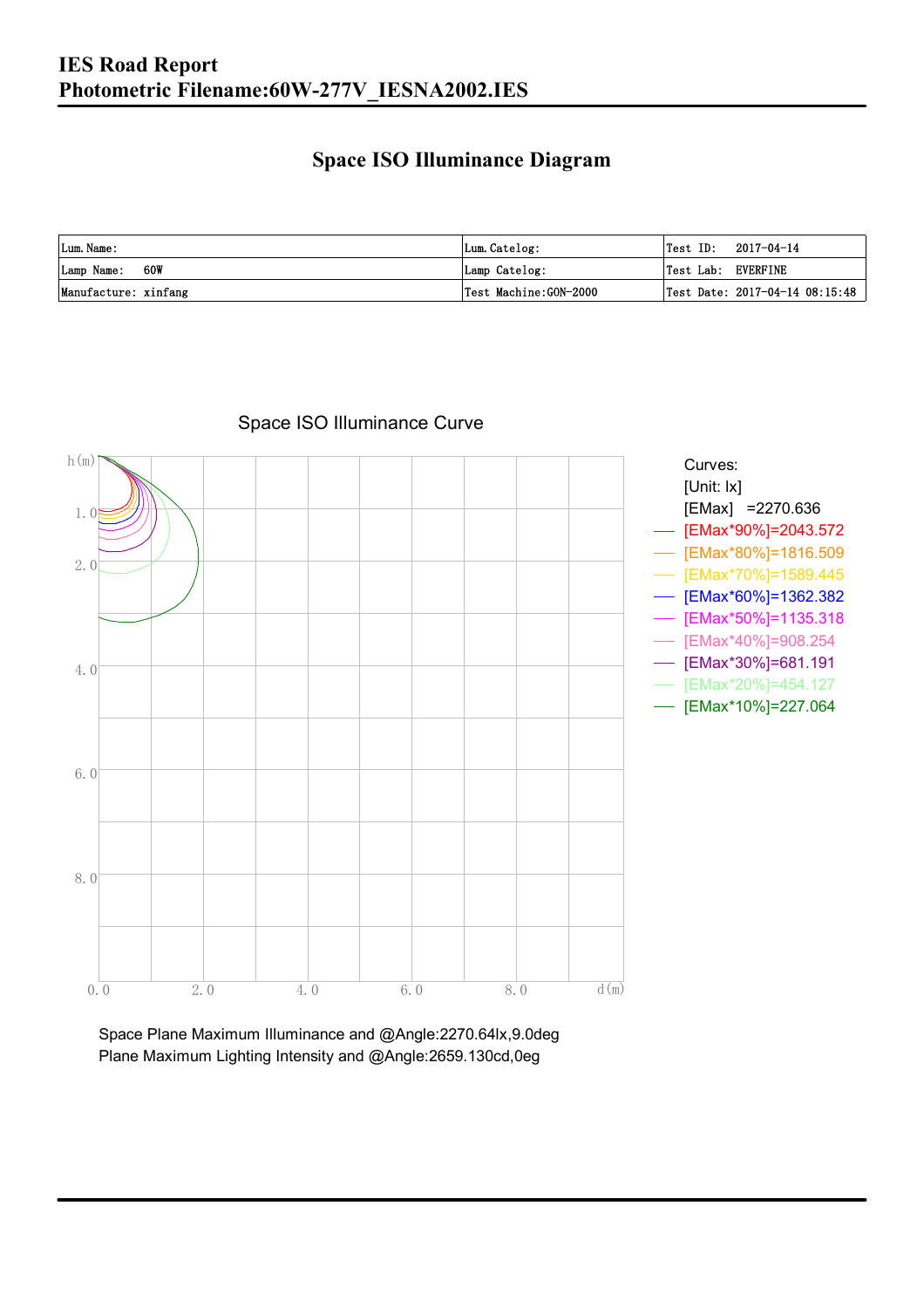### **Space ISO Illuminance Diagram**

| Lum. Name:           | Lum.Catelog:          | $\textsf{Test ID:} \quad 2017-04-14$           |
|----------------------|-----------------------|------------------------------------------------|
| 60W<br>Lamp Name:    | Lamp Catelog:         | Test Lab: EVERFINE                             |
| Manufacture: xinfang | Test Machine:GON-2000 | $\vert$ Test Date: 2017-04-14 08:15:48 $\vert$ |



Space ISO Illuminance Curve

Space Plane Maximum Illuminance and @Angle:2270.64lx,9.0deg Plane Maximum Lighting Intensity and @Angle:2659.130cd,0eg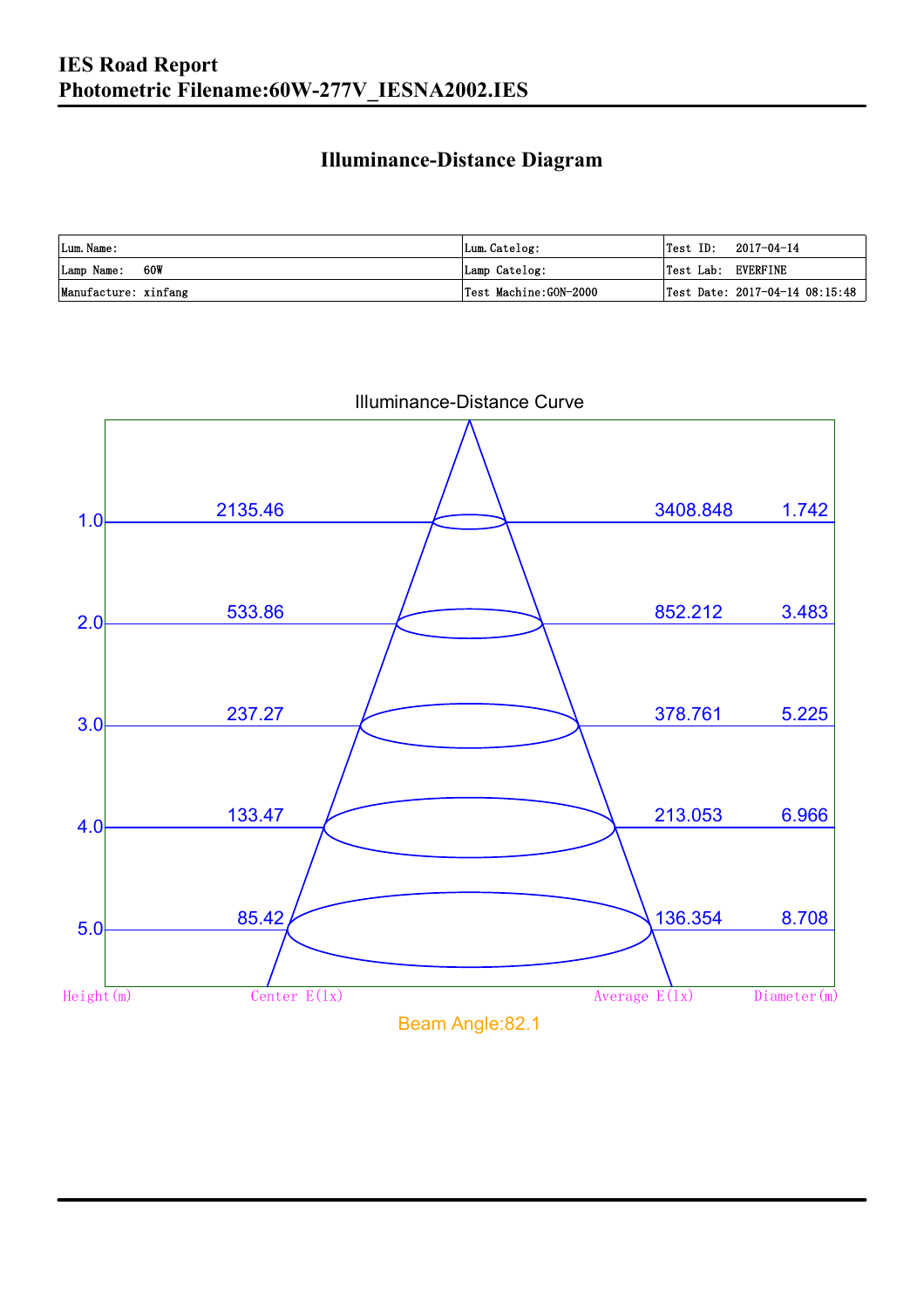### **Illuminance-Distance Diagram**

| Lum. Name:           | Lum.Catelog:          | Test ID:           | 2017-04-14                     |
|----------------------|-----------------------|--------------------|--------------------------------|
| Lamp Name: 60W       | Lamp Catelog:         | Test Lab: EVERFINE |                                |
| Manufacture: xinfang | Test Machine:GON-2000 |                    | Test Date: 2017-04-14 08:15:48 |

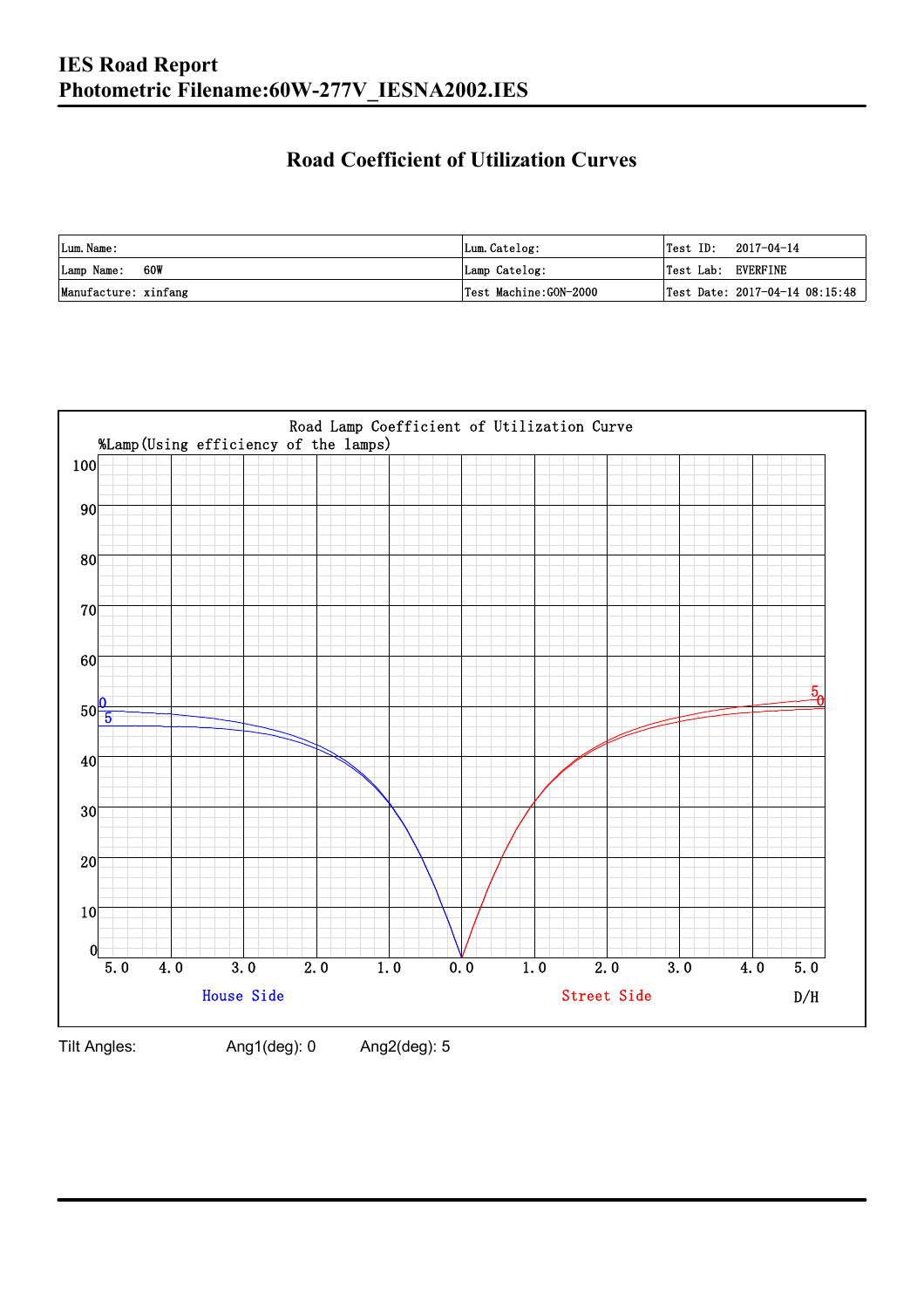### **Road Coefficient of Utilization Curves**

| Lum. Name:           | Lum.Catelog:          | $\textsf{Test ID:} \quad 2017-04-14$ |  |
|----------------------|-----------------------|--------------------------------------|--|
| Lamp Name: 60W       | Lamp Catelog:         | Test Lab: EVERFINE                   |  |
| Manufacture: xinfang | Test Machine:GON-2000 | Test Date: 2017-04-14 08:15:48       |  |



Tilt Angles: Ang1(deg): 0 Ang2(deg): 5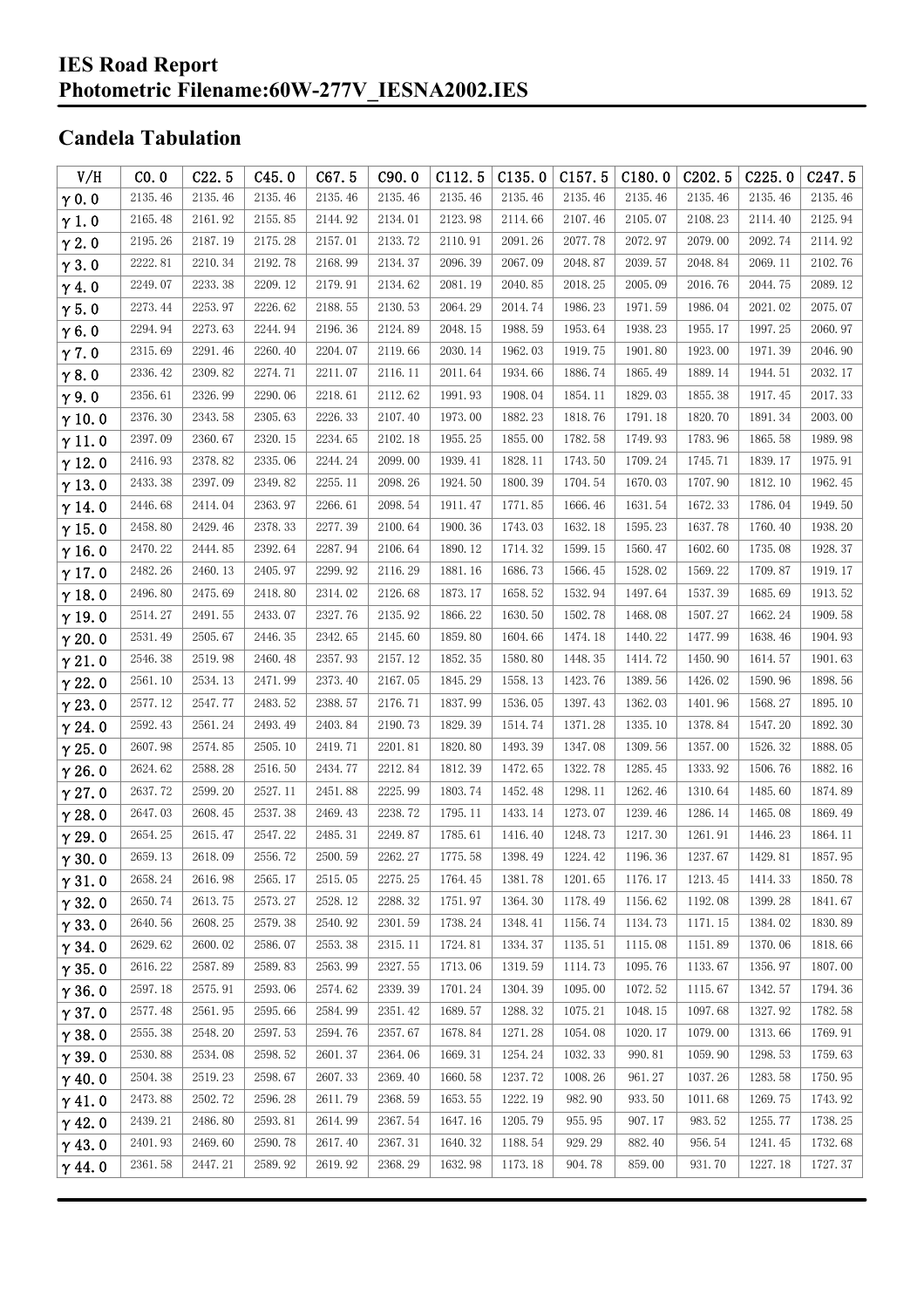## **Candela Tabulation**

| V/H           | CO.0    | C22.5   | C45.0   | C67.5   | C90.0   | C112.5  | C135.0  | C157.5  | C180.0  | C202.5  | C225.0  | C <sub>247.5</sub> |
|---------------|---------|---------|---------|---------|---------|---------|---------|---------|---------|---------|---------|--------------------|
| $\gamma$ 0.0  | 2135.46 | 2135.46 | 2135.46 | 2135.46 | 2135.46 | 2135.46 | 2135.46 | 2135.46 | 2135.46 | 2135.46 | 2135.46 | 2135.46            |
| $\gamma$ 1.0  | 2165.48 | 2161.92 | 2155.85 | 2144.92 | 2134.01 | 2123.98 | 2114.66 | 2107.46 | 2105.07 | 2108.23 | 2114.40 | 2125.94            |
| $\gamma$ 2.0  | 2195.26 | 2187.19 | 2175.28 | 2157.01 | 2133.72 | 2110.91 | 2091.26 | 2077.78 | 2072.97 | 2079.00 | 2092.74 | 2114.92            |
| $\gamma$ 3.0  | 2222.81 | 2210.34 | 2192.78 | 2168.99 | 2134.37 | 2096.39 | 2067.09 | 2048.87 | 2039.57 | 2048.84 | 2069.11 | 2102.76            |
| $\gamma$ 4.0  | 2249.07 | 2233.38 | 2209.12 | 2179.91 | 2134.62 | 2081.19 | 2040.85 | 2018.25 | 2005.09 | 2016.76 | 2044.75 | 2089.12            |
| $\gamma$ 5.0  | 2273.44 | 2253.97 | 2226.62 | 2188.55 | 2130.53 | 2064.29 | 2014.74 | 1986.23 | 1971.59 | 1986.04 | 2021.02 | 2075.07            |
| $\gamma$ 6.0  | 2294.94 | 2273.63 | 2244.94 | 2196.36 | 2124.89 | 2048.15 | 1988.59 | 1953.64 | 1938.23 | 1955.17 | 1997.25 | 2060.97            |
| $\gamma$ 7.0  | 2315.69 | 2291.46 | 2260.40 | 2204.07 | 2119.66 | 2030.14 | 1962.03 | 1919.75 | 1901.80 | 1923.00 | 1971.39 | 2046.90            |
| $\gamma$ 8.0  | 2336.42 | 2309.82 | 2274.71 | 2211.07 | 2116.11 | 2011.64 | 1934.66 | 1886.74 | 1865.49 | 1889.14 | 1944.51 | 2032.17            |
| $\gamma$ 9.0  | 2356.61 | 2326.99 | 2290.06 | 2218.61 | 2112.62 | 1991.93 | 1908.04 | 1854.11 | 1829.03 | 1855.38 | 1917.45 | 2017.33            |
| $\gamma$ 10.0 | 2376.30 | 2343.58 | 2305.63 | 2226.33 | 2107.40 | 1973.00 | 1882.23 | 1818.76 | 1791.18 | 1820.70 | 1891.34 | 2003.00            |
| $\gamma$ 11.0 | 2397.09 | 2360.67 | 2320.15 | 2234.65 | 2102.18 | 1955.25 | 1855.00 | 1782.58 | 1749.93 | 1783.96 | 1865.58 | 1989.98            |
| $\gamma$ 12.0 | 2416.93 | 2378.82 | 2335.06 | 2244.24 | 2099.00 | 1939.41 | 1828.11 | 1743.50 | 1709.24 | 1745.71 | 1839.17 | 1975.91            |
| $\gamma$ 13.0 | 2433.38 | 2397.09 | 2349.82 | 2255.11 | 2098.26 | 1924.50 | 1800.39 | 1704.54 | 1670.03 | 1707.90 | 1812.10 | 1962.45            |
| $\gamma$ 14.0 | 2446.68 | 2414.04 | 2363.97 | 2266.61 | 2098.54 | 1911.47 | 1771.85 | 1666.46 | 1631.54 | 1672.33 | 1786.04 | 1949.50            |
| $\gamma$ 15.0 | 2458.80 | 2429.46 | 2378.33 | 2277.39 | 2100.64 | 1900.36 | 1743.03 | 1632.18 | 1595.23 | 1637.78 | 1760.40 | 1938.20            |
| $\gamma$ 16.0 | 2470.22 | 2444.85 | 2392.64 | 2287.94 | 2106.64 | 1890.12 | 1714.32 | 1599.15 | 1560.47 | 1602.60 | 1735.08 | 1928.37            |
| $\gamma$ 17.0 | 2482.26 | 2460.13 | 2405.97 | 2299.92 | 2116.29 | 1881.16 | 1686.73 | 1566.45 | 1528.02 | 1569.22 | 1709.87 | 1919.17            |
| $\gamma$ 18.0 | 2496.80 | 2475.69 | 2418.80 | 2314.02 | 2126.68 | 1873.17 | 1658.52 | 1532.94 | 1497.64 | 1537.39 | 1685.69 | 1913.52            |
| $\gamma$ 19.0 | 2514.27 | 2491.55 | 2433.07 | 2327.76 | 2135.92 | 1866.22 | 1630.50 | 1502.78 | 1468.08 | 1507.27 | 1662.24 | 1909.58            |
| $\gamma$ 20.0 | 2531.49 | 2505.67 | 2446.35 | 2342.65 | 2145.60 | 1859.80 | 1604.66 | 1474.18 | 1440.22 | 1477.99 | 1638.46 | 1904.93            |
| $\gamma$ 21.0 | 2546.38 | 2519.98 | 2460.48 | 2357.93 | 2157.12 | 1852.35 | 1580.80 | 1448.35 | 1414.72 | 1450.90 | 1614.57 | 1901.63            |
| $\gamma$ 22.0 | 2561.10 | 2534.13 | 2471.99 | 2373.40 | 2167.05 | 1845.29 | 1558.13 | 1423.76 | 1389.56 | 1426.02 | 1590.96 | 1898.56            |
| $\gamma$ 23.0 | 2577.12 | 2547.77 | 2483.52 | 2388.57 | 2176.71 | 1837.99 | 1536.05 | 1397.43 | 1362.03 | 1401.96 | 1568.27 | 1895.10            |
| $\gamma$ 24.0 | 2592.43 | 2561.24 | 2493.49 | 2403.84 | 2190.73 | 1829.39 | 1514.74 | 1371.28 | 1335.10 | 1378.84 | 1547.20 | 1892.30            |
| $\gamma$ 25.0 | 2607.98 | 2574.85 | 2505.10 | 2419.71 | 2201.81 | 1820.80 | 1493.39 | 1347.08 | 1309.56 | 1357.00 | 1526.32 | 1888.05            |
| $\gamma$ 26.0 | 2624.62 | 2588.28 | 2516.50 | 2434.77 | 2212.84 | 1812.39 | 1472.65 | 1322.78 | 1285.45 | 1333.92 | 1506.76 | 1882.16            |
| $\gamma$ 27.0 | 2637.72 | 2599.20 | 2527.11 | 2451.88 | 2225.99 | 1803.74 | 1452.48 | 1298.11 | 1262.46 | 1310.64 | 1485.60 | 1874.89            |
| $\gamma$ 28.0 | 2647.03 | 2608.45 | 2537.38 | 2469.43 | 2238.72 | 1795.11 | 1433.14 | 1273.07 | 1239.46 | 1286.14 | 1465.08 | 1869.49            |
| $\gamma$ 29.0 | 2654.25 | 2615.47 | 2547.22 | 2485.31 | 2249.87 | 1785.61 | 1416.40 | 1248.73 | 1217.30 | 1261.91 | 1446.23 | 1864.11            |
| $\gamma$ 30.0 | 2659.13 | 2618.09 | 2556.72 | 2500.59 | 2262.27 | 1775.58 | 1398.49 | 1224.42 | 1196.36 | 1237.67 | 1429.81 | 1857.95            |
| $\gamma$ 31.0 | 2658.24 | 2616.98 | 2565.17 | 2515.05 | 2275.25 | 1764.45 | 1381.78 | 1201.65 | 1176.17 | 1213.45 | 1414.33 | 1850.78            |
| $\gamma$ 32.0 | 2650.74 | 2613.75 | 2573.27 | 2528.12 | 2288.32 | 1751.97 | 1364.30 | 1178.49 | 1156.62 | 1192.08 | 1399.28 | 1841.67            |
| $\gamma$ 33.0 | 2640.56 | 2608.25 | 2579.38 | 2540.92 | 2301.59 | 1738.24 | 1348.41 | 1156.74 | 1134.73 | 1171.15 | 1384.02 | 1830.89            |
| $\gamma$ 34.0 | 2629.62 | 2600.02 | 2586.07 | 2553.38 | 2315.11 | 1724.81 | 1334.37 | 1135.51 | 1115.08 | 1151.89 | 1370.06 | 1818.66            |
| $\gamma$ 35.0 | 2616.22 | 2587.89 | 2589.83 | 2563.99 | 2327.55 | 1713.06 | 1319.59 | 1114.73 | 1095.76 | 1133.67 | 1356.97 | 1807.00            |
| $\gamma$ 36.0 | 2597.18 | 2575.91 | 2593.06 | 2574.62 | 2339.39 | 1701.24 | 1304.39 | 1095.00 | 1072.52 | 1115.67 | 1342.57 | 1794.36            |
| $\gamma$ 37.0 | 2577.48 | 2561.95 | 2595.66 | 2584.99 | 2351.42 | 1689.57 | 1288.32 | 1075.21 | 1048.15 | 1097.68 | 1327.92 | 1782.58            |
| $\gamma$ 38.0 | 2555.38 | 2548.20 | 2597.53 | 2594.76 | 2357.67 | 1678.84 | 1271.28 | 1054.08 | 1020.17 | 1079.00 | 1313.66 | 1769.91            |
| $\gamma$ 39.0 | 2530.88 | 2534.08 | 2598.52 | 2601.37 | 2364.06 | 1669.31 | 1254.24 | 1032.33 | 990.81  | 1059.90 | 1298.53 | 1759.63            |
| $\gamma$ 40.0 | 2504.38 | 2519.23 | 2598.67 | 2607.33 | 2369.40 | 1660.58 | 1237.72 | 1008.26 | 961.27  | 1037.26 | 1283.58 | 1750.95            |
| $\gamma$ 41.0 | 2473.88 | 2502.72 | 2596.28 | 2611.79 | 2368.59 | 1653.55 | 1222.19 | 982.90  | 933.50  | 1011.68 | 1269.75 | 1743.92            |
| $\gamma$ 42.0 | 2439.21 | 2486.80 | 2593.81 | 2614.99 | 2367.54 | 1647.16 | 1205.79 | 955.95  | 907.17  | 983.52  | 1255.77 | 1738.25            |
| $\gamma$ 43.0 | 2401.93 | 2469.60 | 2590.78 | 2617.40 | 2367.31 | 1640.32 | 1188.54 | 929.29  | 882.40  | 956.54  | 1241.45 | 1732.68            |
| $\gamma$ 44.0 | 2361.58 | 2447.21 | 2589.92 | 2619.92 | 2368.29 | 1632.98 | 1173.18 | 904.78  | 859.00  | 931.70  | 1227.18 | 1727.37            |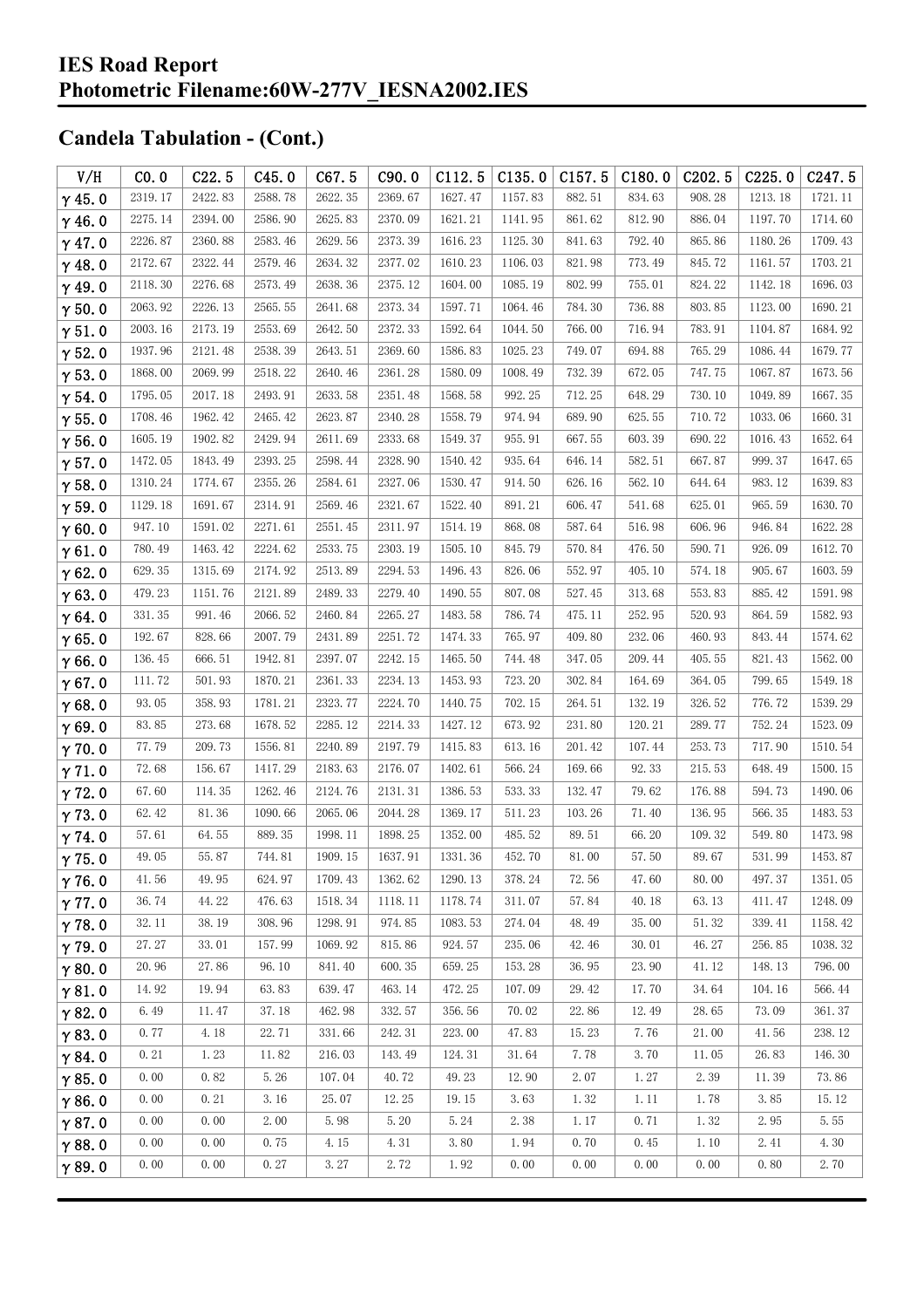| V/H           | CO.0    | C22.5   | C45.0   | C67.5   | C90.0   | C112.5  | C135.0  | C157.5                | C180.0 | C <sub>2</sub> 02.5 | C225.0  | C <sub>247.5</sub> |
|---------------|---------|---------|---------|---------|---------|---------|---------|-----------------------|--------|---------------------|---------|--------------------|
| $\gamma$ 45.0 | 2319.17 | 2422.83 | 2588.78 | 2622.35 | 2369.67 | 1627.47 | 1157.83 | 882.51                | 834.63 | 908.28              | 1213.18 | 1721.11            |
| $\gamma$ 46.0 | 2275.14 | 2394.00 | 2586.90 | 2625.83 | 2370.09 | 1621.21 | 1141.95 | 861.62                | 812.90 | 886.04              | 1197.70 | 1714.60            |
| $\gamma$ 47.0 | 2226.87 | 2360.88 | 2583.46 | 2629.56 | 2373.39 | 1616.23 | 1125.30 | 841.63                | 792.40 | 865.86              | 1180.26 | 1709.43            |
| $\gamma$ 48.0 | 2172.67 | 2322.44 | 2579.46 | 2634.32 | 2377.02 | 1610.23 | 1106.03 | 821.98                | 773.49 | 845.72              | 1161.57 | 1703.21            |
| $\gamma$ 49.0 | 2118.30 | 2276.68 | 2573.49 | 2638.36 | 2375.12 | 1604.00 | 1085.19 | 802.99                | 755.01 | 824.22              | 1142.18 | 1696.03            |
| $\gamma$ 50.0 | 2063.92 | 2226.13 | 2565.55 | 2641.68 | 2373.34 | 1597.71 | 1064.46 | 784.30                | 736.88 | 803.85              | 1123.00 | 1690.21            |
| $\gamma$ 51.0 | 2003.16 | 2173.19 | 2553.69 | 2642.50 | 2372.33 | 1592.64 | 1044.50 | 766.00                | 716.94 | 783.91              | 1104.87 | 1684.92            |
| $\gamma$ 52.0 | 1937.96 | 2121.48 | 2538.39 | 2643.51 | 2369.60 | 1586.83 | 1025.23 | 749.07                | 694.88 | 765.29              | 1086.44 | 1679.77            |
| $\gamma$ 53.0 | 1868.00 | 2069.99 | 2518.22 | 2640.46 | 2361.28 | 1580.09 | 1008.49 | 732.39                | 672.05 | 747.75              | 1067.87 | 1673.56            |
| $\gamma$ 54.0 | 1795.05 | 2017.18 | 2493.91 | 2633.58 | 2351.48 | 1568.58 | 992.25  | 712.25                | 648.29 | 730.10              | 1049.89 | 1667.35            |
| $\gamma$ 55.0 | 1708.46 | 1962.42 | 2465.42 | 2623.87 | 2340.28 | 1558.79 | 974.94  | 689.90                | 625.55 | 710.72              | 1033.06 | 1660.31            |
| $\gamma$ 56.0 | 1605.19 | 1902.82 | 2429.94 | 2611.69 | 2333.68 | 1549.37 | 955.91  | 667.55                | 603.39 | 690.22              | 1016.43 | 1652.64            |
| $\gamma$ 57.0 | 1472.05 | 1843.49 | 2393.25 | 2598.44 | 2328.90 | 1540.42 | 935.64  | 646.14                | 582.51 | 667.87              | 999.37  | 1647.65            |
| $\gamma$ 58.0 | 1310.24 | 1774.67 | 2355.26 | 2584.61 | 2327.06 | 1530.47 | 914.50  | 626.16                | 562.10 | 644.64              | 983.12  | 1639.83            |
| $\gamma$ 59.0 | 1129.18 | 1691.67 | 2314.91 | 2569.46 | 2321.67 | 1522.40 | 891.21  | 606.47                | 541.68 | 625.01              | 965.59  | 1630.70            |
| $\gamma$ 60.0 | 947.10  | 1591.02 | 2271.61 | 2551.45 | 2311.97 | 1514.19 | 868.08  | 587.64                | 516.98 | 606.96              | 946.84  | 1622.28            |
| $\gamma$ 61.0 | 780.49  | 1463.42 | 2224.62 | 2533.75 | 2303.19 | 1505.10 | 845.79  | 570.84                | 476.50 | 590.71              | 926.09  | 1612.70            |
| $\gamma$ 62.0 | 629.35  | 1315.69 | 2174.92 | 2513.89 | 2294.53 | 1496.43 | 826.06  | 552.97                | 405.10 | 574.18              | 905.67  | 1603.59            |
| $\gamma$ 63.0 | 479.23  | 1151.76 | 2121.89 | 2489.33 | 2279.40 | 1490.55 | 807.08  | 527.45                | 313.68 | 553.83              | 885.42  | 1591.98            |
| $\gamma$ 64.0 | 331.35  | 991.46  | 2066.52 | 2460.84 | 2265.27 | 1483.58 | 786.74  | 475.11                | 252.95 | 520.93              | 864.59  | 1582.93            |
| $\gamma$ 65.0 | 192.67  | 828.66  | 2007.79 | 2431.89 | 2251.72 | 1474.33 | 765.97  | 409.80                | 232.06 | 460.93              | 843.44  | 1574.62            |
| $\gamma$ 66.0 | 136.45  | 666.51  | 1942.81 | 2397.07 | 2242.15 | 1465.50 | 744.48  | 347.05                | 209.44 | 405.55              | 821.43  | 1562.00            |
| $\gamma$ 67.0 | 111.72  | 501.93  | 1870.21 | 2361.33 | 2234.13 | 1453.93 | 723.20  | 302.84                | 164.69 | 364.05              | 799.65  | 1549.18            |
| $\gamma$ 68.0 | 93.05   | 358.93  | 1781.21 | 2323.77 | 2224.70 | 1440.75 | 702.15  | 264.51                | 132.19 | 326.52              | 776.72  | 1539.29            |
| $\gamma$ 69.0 | 83.85   | 273.68  | 1678.52 | 2285.12 | 2214.33 | 1427.12 | 673.92  | 231.80                | 120.21 | 289.77              | 752.24  | 1523.09            |
| $\gamma$ 70.0 | 77.79   | 209.73  | 1556.81 | 2240.89 | 2197.79 | 1415.83 | 613.16  | 201.42                | 107.44 | 253.73              | 717.90  | 1510.54            |
| $\gamma$ 71.0 | 72.68   | 156.67  | 1417.29 | 2183.63 | 2176.07 | 1402.61 | 566.24  | 169.66                | 92.33  | 215.53              | 648.49  | 1500.15            |
| $\gamma$ 72.0 | 67.60   | 114.35  | 1262.46 | 2124.76 | 2131.31 | 1386.53 | 533.33  | 132.47                | 79.62  | 176.88              | 594.73  | 1490.06            |
| $\gamma$ 73.0 | 62.42   | 81.36   | 1090.66 | 2065.06 | 2044.28 | 1369.17 | 511.23  | 103.26                | 71.40  | 136.95              | 566.35  | 1483.53            |
| $\gamma$ 74.0 | 57.61   | 64.55   | 889.35  | 1998.11 | 1898.25 | 1352.00 | 485.52  | 89.51                 | 66.20  | 109.32              | 549.80  | 1473.98            |
| $\gamma$ 75.0 | 49.05   | 55.87   | 744.81  | 1909.15 | 1637.91 | 1331.36 | 452.70  | $81.\,\allowbreak 00$ | 57.50  | 89.67               | 531.99  | 1453.87            |
| $\gamma$ 76.0 | 41.56   | 49.95   | 624.97  | 1709.43 | 1362.62 | 1290.13 | 378.24  | 72.56                 | 47.60  | 80.00               | 497.37  | 1351.05            |
| $\gamma$ 77.0 | 36.74   | 44.22   | 476.63  | 1518.34 | 1118.11 | 1178.74 | 311.07  | 57.84                 | 40.18  | 63.13               | 411.47  | 1248.09            |
| $\gamma$ 78.0 | 32.11   | 38.19   | 308.96  | 1298.91 | 974.85  | 1083.53 | 274.04  | 48.49                 | 35.00  | 51.32               | 339.41  | 1158.42            |
| $\gamma$ 79.0 | 27.27   | 33.01   | 157.99  | 1069.92 | 815.86  | 924.57  | 235.06  | 42.46                 | 30.01  | 46.27               | 256.85  | 1038.32            |
| $\gamma$ 80.0 | 20.96   | 27.86   | 96.10   | 841.40  | 600.35  | 659.25  | 153.28  | 36.95                 | 23.90  | 41.12               | 148.13  | 796.00             |
| $\gamma$ 81.0 | 14.92   | 19.94   | 63.83   | 639.47  | 463.14  | 472.25  | 107.09  | 29.42                 | 17.70  | 34.64               | 104.16  | 566.44             |
| $\gamma$ 82.0 | 6.49    | 11.47   | 37.18   | 462.98  | 332.57  | 356.56  | 70.02   | 22.86                 | 12.49  | 28.65               | 73.09   | 361.37             |
| $\gamma$ 83.0 | 0.77    | 4.18    | 22.71   | 331.66  | 242.31  | 223.00  | 47.83   | 15.23                 | 7.76   | 21.00               | 41.56   | 238.12             |
| $\gamma$ 84.0 | 0.21    | 1.23    | 11.82   | 216.03  | 143.49  | 124.31  | 31.64   | 7.78                  | 3.70   | 11.05               | 26.83   | 146.30             |
| $\gamma$ 85.0 | 0.00    | 0.82    | 5.26    | 107.04  | 40.72   | 49.23   | 12.90   | 2.07                  | 1.27   | 2.39                | 11.39   | 73.86              |
| $\gamma$ 86.0 | 0.00    | 0.21    | 3.16    | 25.07   | 12.25   | 19.15   | 3.63    | 1.32                  | 1.11   | 1.78                | 3.85    | 15.12              |
| $\gamma$ 87.0 | 0.00    | 0.00    | 2.00    | 5.98    | 5.20    | 5.24    | 2.38    | 1.17                  | 0.71   | 1.32                | 2.95    | 5.55               |
| $\gamma$ 88.0 | 0.00    | 0.00    | 0.75    | 4.15    | 4.31    | 3.80    | 1.94    | 0.70                  | 0.45   | 1.10                | 2.41    | 4.30               |
| $\gamma$ 89.0 | 0.00    | 0.00    | 0.27    | 3.27    | 2.72    | 1.92    | 0.00    | 0.00                  | 0.00   | 0.00                | 0.80    | 2.70               |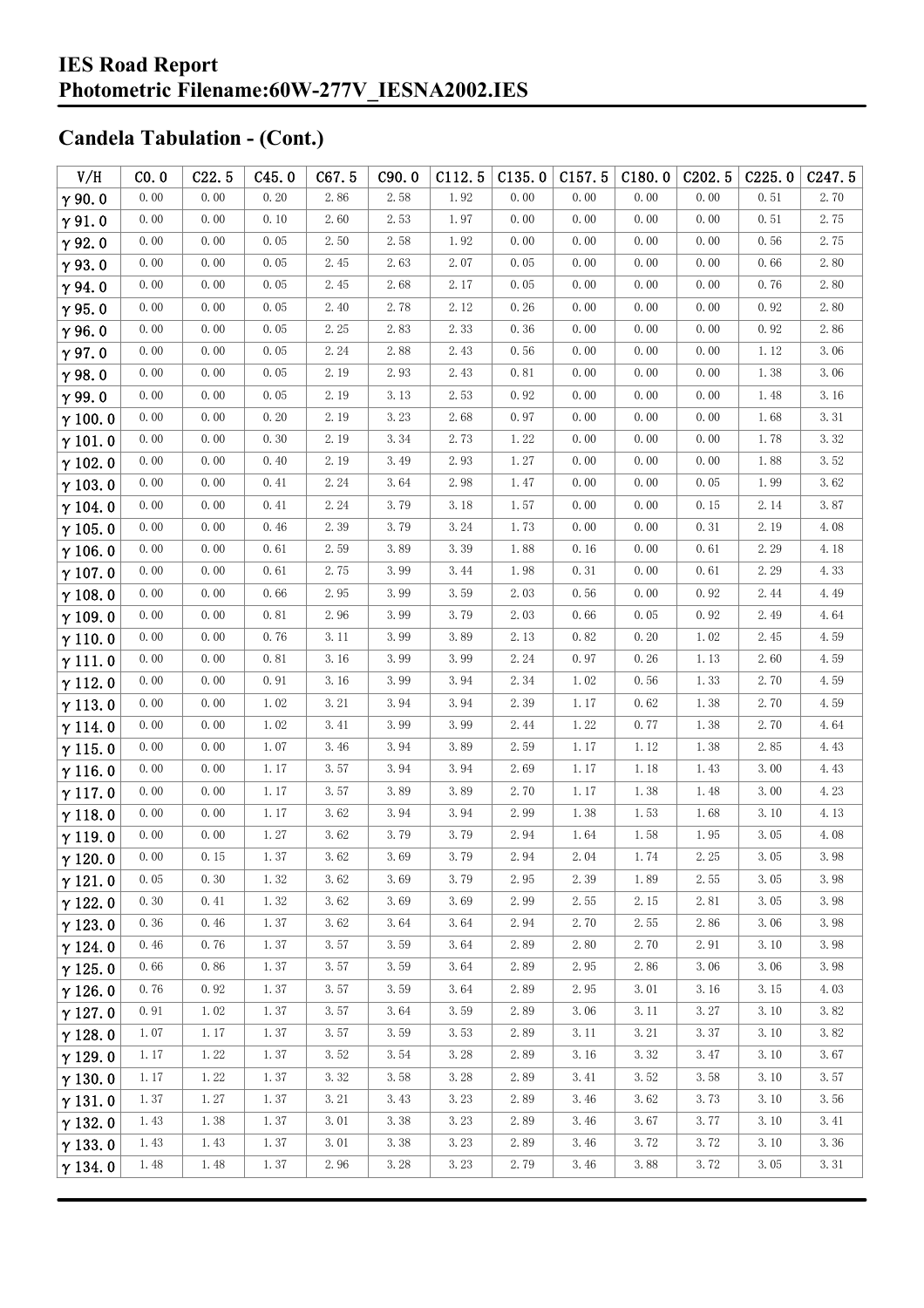| V/H            | CO.0 | C22.5 | C45.0 | C67.5 | C90.0 | C112.5 | C135.0               | C157.5 | C180.0 | C <sub>2</sub> 02.5 | C225.0 | C <sub>247.5</sub> |
|----------------|------|-------|-------|-------|-------|--------|----------------------|--------|--------|---------------------|--------|--------------------|
| $\gamma$ 90.0  | 0.00 | 0.00  | 0.20  | 2.86  | 2.58  | 1.92   | 0.00                 | 0.00   | 0.00   | 0.00                | 0.51   | 2.70               |
| $\gamma$ 91.0  | 0.00 | 0.00  | 0.10  | 2.60  | 2.53  | 1.97   | 0.00                 | 0.00   | 0.00   | 0.00                | 0.51   | 2.75               |
| $\gamma$ 92.0  | 0.00 | 0.00  | 0.05  | 2.50  | 2.58  | 1.92   | 0.00                 | 0.00   | 0.00   | 0.00                | 0.56   | 2.75               |
| $\gamma$ 93.0  | 0.00 | 0.00  | 0.05  | 2.45  | 2.63  | 2.07   | 0.05                 | 0.00   | 0.00   | 0.00                | 0.66   | 2.80               |
| $\gamma$ 94.0  | 0.00 | 0.00  | 0.05  | 2.45  | 2.68  | 2.17   | 0.05                 | 0.00   | 0.00   | 0.00                | 0.76   | 2.80               |
| $\gamma$ 95.0  | 0.00 | 0.00  | 0.05  | 2.40  | 2.78  | 2.12   | 0.26                 | 0.00   | 0.00   | 0.00                | 0.92   | 2.80               |
| $\gamma$ 96.0  | 0.00 | 0.00  | 0.05  | 2.25  | 2.83  | 2.33   | 0.36                 | 0.00   | 0.00   | 0.00                | 0.92   | 2.86               |
| $\gamma$ 97.0  | 0.00 | 0.00  | 0.05  | 2.24  | 2.88  | 2.43   | 0.56                 | 0.00   | 0.00   | 0.00                | 1.12   | 3.06               |
| $\gamma$ 98.0  | 0.00 | 0.00  | 0.05  | 2.19  | 2.93  | 2.43   | 0.81                 | 0.00   | 0.00   | 0.00                | 1.38   | 3.06               |
| $\gamma$ 99.0  | 0.00 | 0.00  | 0.05  | 2.19  | 3.13  | 2.53   | 0.92                 | 0.00   | 0.00   | 0.00                | 1.48   | 3.16               |
| $\gamma$ 100.0 | 0.00 | 0.00  | 0.20  | 2.19  | 3.23  | 2.68   | 0.97                 | 0.00   | 0.00   | 0.00                | 1.68   | 3.31               |
| $\gamma$ 101.0 | 0.00 | 0.00  | 0.30  | 2.19  | 3.34  | 2.73   | 1.22                 | 0.00   | 0.00   | 0.00                | 1.78   | 3.32               |
| $\gamma$ 102.0 | 0.00 | 0.00  | 0.40  | 2.19  | 3.49  | 2.93   | 1.27                 | 0.00   | 0.00   | 0.00                | 1.88   | 3.52               |
| $\gamma$ 103.0 | 0.00 | 0.00  | 0.41  | 2.24  | 3.64  | 2.98   | 1.47                 | 0.00   | 0.00   | 0.05                | 1.99   | 3.62               |
| $\gamma$ 104.0 | 0.00 | 0.00  | 0.41  | 2.24  | 3.79  | 3.18   | 1.57                 | 0.00   | 0.00   | 0.15                | 2.14   | 3.87               |
| $\gamma$ 105.0 | 0.00 | 0.00  | 0.46  | 2.39  | 3.79  | 3.24   | 1.73                 | 0.00   | 0.00   | 0.31                | 2.19   | 4.08               |
| $\gamma$ 106.0 | 0.00 | 0.00  | 0.61  | 2.59  | 3.89  | 3.39   | 1.88                 | 0.16   | 0.00   | 0.61                | 2.29   | 4.18               |
| $\gamma$ 107.0 | 0.00 | 0.00  | 0.61  | 2.75  | 3.99  | 3.44   | 1.98                 | 0.31   | 0.00   | 0.61                | 2.29   | 4.33               |
| $\gamma$ 108.0 | 0.00 | 0.00  | 0.66  | 2.95  | 3.99  | 3.59   | 2.03                 | 0.56   | 0.00   | 0.92                | 2.44   | 4.49               |
| $\gamma$ 109.0 | 0.00 | 0.00  | 0.81  | 2.96  | 3.99  | 3.79   | 2.03                 | 0.66   | 0.05   | 0.92                | 2.49   | 4.64               |
| $\gamma$ 110.0 | 0.00 | 0.00  | 0.76  | 3.11  | 3.99  | 3.89   | 2.13                 | 0.82   | 0.20   | 1.02                | 2.45   | 4.59               |
| $\gamma$ 111.0 | 0.00 | 0.00  | 0.81  | 3.16  | 3.99  | 3.99   | 2.24                 | 0.97   | 0.26   | 1.13                | 2.60   | 4.59               |
| $\gamma$ 112.0 | 0.00 | 0.00  | 0.91  | 3.16  | 3.99  | 3.94   | 2.34                 | 1.02   | 0.56   | 1.33                | 2.70   | 4.59               |
| $\gamma$ 113.0 | 0.00 | 0.00  | 1.02  | 3.21  | 3.94  | 3.94   | 2.39                 | 1.17   | 0.62   | 1.38                | 2.70   | 4.59               |
| $\gamma$ 114.0 | 0.00 | 0.00  | 1.02  | 3.41  | 3.99  | 3.99   | 2.44                 | 1.22   | 0.77   | 1.38                | 2.70   | 4.64               |
| $\gamma$ 115.0 | 0.00 | 0.00  | 1.07  | 3.46  | 3.94  | 3.89   | 2.59                 | 1.17   | 1.12   | 1.38                | 2.85   | 4.43               |
| $\gamma$ 116.0 | 0.00 | 0.00  | 1.17  | 3.57  | 3.94  | 3.94   | 2.69                 | 1.17   | 1.18   | 1.43                | 3.00   | 4.43               |
| $\gamma$ 117.0 | 0.00 | 0.00  | 1.17  | 3.57  | 3.89  | 3.89   | 2.70                 | 1.17   | 1.38   | 1.48                | 3.00   | 4.23               |
| $\gamma$ 118.0 | 0.00 | 0.00  | 1.17  | 3.62  | 3.94  | 3.94   | 2.99                 | 1.38   | 1.53   | 1.68                | 3.10   | 4.13               |
| $\gamma$ 119.0 | 0.00 | 0.00  | 1.27  | 3.62  | 3.79  | 3.79   | 2.94                 | 1.64   | 1.58   | 1.95                | 3.05   | 4.08               |
| $\gamma$ 120.0 | 0.00 | 0.15  | 1.37  | 3.62  | 3.69  | 3.79   | $2.\,\allowbreak 94$ | 2.04   | 1.74   | $2.\,25$            | 3.05   | 3.98               |
| $\gamma$ 121.0 | 0.05 | 0.30  | 1.32  | 3.62  | 3.69  | 3.79   | 2.95                 | 2.39   | 1.89   | 2.55                | 3.05   | 3.98               |
| $\gamma$ 122.0 | 0.30 | 0.41  | 1.32  | 3.62  | 3.69  | 3.69   | 2.99                 | 2.55   | 2.15   | 2.81                | 3.05   | 3.98               |
| $\gamma$ 123.0 | 0.36 | 0.46  | 1.37  | 3.62  | 3.64  | 3.64   | 2.94                 | 2.70   | 2.55   | 2.86                | 3.06   | 3.98               |
| $\gamma$ 124.0 | 0.46 | 0.76  | 1.37  | 3.57  | 3.59  | 3.64   | 2.89                 | 2.80   | 2.70   | 2.91                | 3.10   | 3.98               |
| $\gamma$ 125.0 | 0.66 | 0.86  | 1.37  | 3.57  | 3.59  | 3.64   | 2.89                 | 2.95   | 2.86   | 3.06                | 3.06   | 3.98               |
| $\gamma$ 126.0 | 0.76 | 0.92  | 1.37  | 3.57  | 3.59  | 3.64   | 2.89                 | 2.95   | 3.01   | 3.16                | 3.15   | 4.03               |
| $\gamma$ 127.0 | 0.91 | 1.02  | 1.37  | 3.57  | 3.64  | 3.59   | 2.89                 | 3.06   | 3.11   | 3.27                | 3.10   | 3.82               |
| $\gamma$ 128.0 | 1.07 | 1.17  | 1.37  | 3.57  | 3.59  | 3.53   | 2.89                 | 3.11   | 3.21   | 3.37                | 3.10   | 3.82               |
| $\gamma$ 129.0 | 1.17 | 1.22  | 1.37  | 3.52  | 3.54  | 3.28   | 2.89                 | 3.16   | 3.32   | 3.47                | 3.10   | 3.67               |
| $\gamma$ 130.0 | 1.17 | 1.22  | 1.37  | 3.32  | 3.58  | 3.28   | 2.89                 | 3.41   | 3.52   | 3.58                | 3.10   | 3.57               |
| $\gamma$ 131.0 | 1.37 | 1.27  | 1.37  | 3.21  | 3.43  | 3.23   | 2.89                 | 3.46   | 3.62   | 3.73                | 3.10   | 3.56               |
| $\gamma$ 132.0 | 1.43 | 1.38  | 1.37  | 3.01  | 3.38  | 3.23   | 2.89                 | 3.46   | 3.67   | 3.77                | 3.10   | 3.41               |
| $\gamma$ 133.0 | 1.43 | 1.43  | 1.37  | 3.01  | 3.38  | 3.23   | 2.89                 | 3.46   | 3.72   | 3.72                | 3.10   | 3.36               |
| $\gamma$ 134.0 | 1.48 | 1.48  | 1.37  | 2.96  | 3.28  | 3.23   | 2.79                 | 3.46   | 3.88   | 3.72                | 3.05   | 3.31               |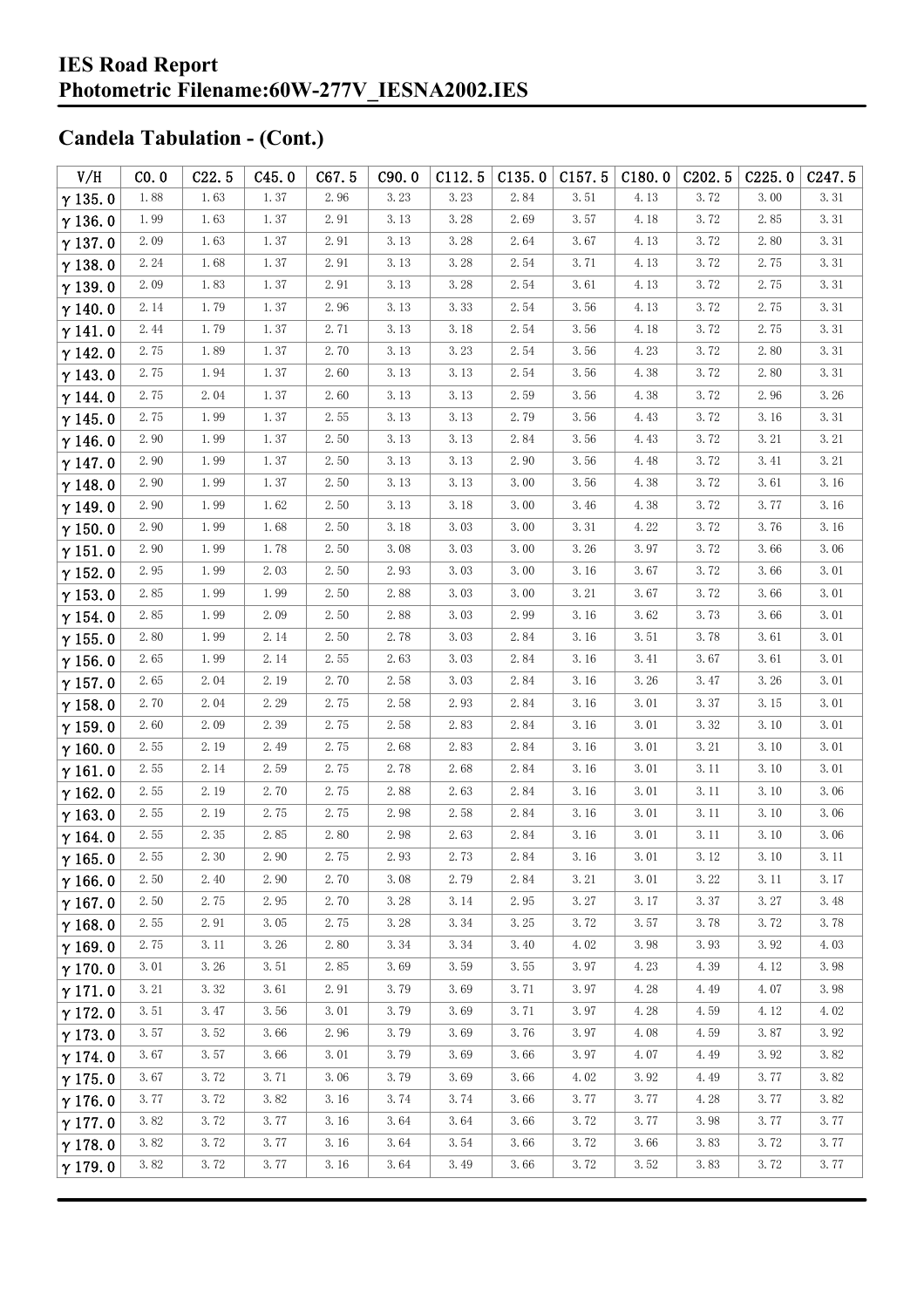| V/H            | CO.0 | C22.5 | C45.0 | C67.5    | C90.0 | C112.5 | C135.0               | C157.5   | C180.0 | C <sub>2</sub> 02.5 | C225.0   | C <sub>247.5</sub> |
|----------------|------|-------|-------|----------|-------|--------|----------------------|----------|--------|---------------------|----------|--------------------|
| $\gamma$ 135.0 | 1.88 | 1.63  | 1.37  | 2.96     | 3.23  | 3.23   | 2.84                 | 3.51     | 4.13   | 3.72                | 3.00     | 3.31               |
| $\gamma$ 136.0 | 1.99 | 1.63  | 1.37  | 2.91     | 3.13  | 3.28   | 2.69                 | 3.57     | 4.18   | 3.72                | 2.85     | 3.31               |
| $\gamma$ 137.0 | 2.09 | 1.63  | 1.37  | 2.91     | 3.13  | 3.28   | 2.64                 | 3.67     | 4.13   | 3.72                | 2.80     | 3.31               |
| $\gamma$ 138.0 | 2.24 | 1.68  | 1.37  | $2.\,91$ | 3.13  | 3.28   | 2.54                 | 3.71     | 4.13   | 3.72                | 2.75     | 3.31               |
| $\gamma$ 139.0 | 2.09 | 1.83  | 1.37  | 2.91     | 3.13  | 3.28   | 2.54                 | 3.61     | 4.13   | 3.72                | 2.75     | 3.31               |
| $\gamma$ 140.0 | 2.14 | 1.79  | 1.37  | 2.96     | 3.13  | 3.33   | 2.54                 | 3.56     | 4.13   | 3.72                | 2.75     | 3.31               |
| $\gamma$ 141.0 | 2.44 | 1.79  | 1.37  | 2.71     | 3.13  | 3.18   | 2.54                 | 3.56     | 4.18   | 3.72                | 2.75     | 3.31               |
| $\gamma$ 142.0 | 2.75 | 1.89  | 1.37  | 2.70     | 3.13  | 3.23   | 2.54                 | 3.56     | 4.23   | 3.72                | 2.80     | 3.31               |
| $\gamma$ 143.0 | 2.75 | 1.94  | 1.37  | 2.60     | 3.13  | 3.13   | 2.54                 | 3.56     | 4.38   | 3.72                | 2.80     | 3.31               |
| $\gamma$ 144.0 | 2.75 | 2.04  | 1.37  | 2.60     | 3.13  | 3.13   | 2.59                 | 3.56     | 4.38   | 3.72                | 2.96     | 3.26               |
| $\gamma$ 145.0 | 2.75 | 1.99  | 1.37  | 2.55     | 3.13  | 3.13   | 2.79                 | 3.56     | 4.43   | 3.72                | 3.16     | 3.31               |
| $\gamma$ 146.0 | 2.90 | 1.99  | 1.37  | 2.50     | 3.13  | 3.13   | 2.84                 | 3.56     | 4.43   | 3.72                | 3.21     | 3.21               |
| $\gamma$ 147.0 | 2.90 | 1.99  | 1.37  | 2.50     | 3.13  | 3.13   | 2.90                 | 3.56     | 4.48   | 3.72                | 3.41     | 3.21               |
| $\gamma$ 148.0 | 2.90 | 1.99  | 1.37  | 2.50     | 3.13  | 3.13   | 3.00                 | 3.56     | 4.38   | 3.72                | 3.61     | 3.16               |
| $\gamma$ 149.0 | 2.90 | 1.99  | 1.62  | 2.50     | 3.13  | 3.18   | 3.00                 | 3.46     | 4.38   | 3.72                | 3.77     | 3.16               |
| $\gamma$ 150.0 | 2.90 | 1.99  | 1.68  | 2.50     | 3.18  | 3.03   | 3.00                 | 3.31     | 4.22   | 3.72                | 3.76     | 3.16               |
| $\gamma$ 151.0 | 2.90 | 1.99  | 1.78  | 2.50     | 3.08  | 3.03   | 3.00                 | 3.26     | 3.97   | 3.72                | 3.66     | 3.06               |
| $\gamma$ 152.0 | 2.95 | 1.99  | 2.03  | 2.50     | 2.93  | 3.03   | 3.00                 | 3.16     | 3.67   | 3.72                | 3.66     | 3.01               |
| $\gamma$ 153.0 | 2.85 | 1.99  | 1.99  | 2.50     | 2.88  | 3.03   | 3.00                 | 3.21     | 3.67   | 3.72                | 3.66     | 3.01               |
| $\gamma$ 154.0 | 2.85 | 1.99  | 2.09  | 2.50     | 2.88  | 3.03   | 2.99                 | 3.16     | 3.62   | 3.73                | 3.66     | 3.01               |
| $\gamma$ 155.0 | 2.80 | 1.99  | 2.14  | 2.50     | 2.78  | 3.03   | 2.84                 | 3.16     | 3.51   | 3.78                | 3.61     | 3.01               |
| $\gamma$ 156.0 | 2.65 | 1.99  | 2.14  | 2.55     | 2.63  | 3.03   | 2.84                 | 3.16     | 3.41   | 3.67                | 3.61     | 3.01               |
| $\gamma$ 157.0 | 2.65 | 2.04  | 2.19  | 2.70     | 2.58  | 3.03   | 2.84                 | 3.16     | 3.26   | 3.47                | 3.26     | 3.01               |
| $\gamma$ 158.0 | 2.70 | 2.04  | 2.29  | 2.75     | 2.58  | 2.93   | 2.84                 | 3.16     | 3.01   | 3.37                | 3.15     | 3.01               |
| $\gamma$ 159.0 | 2.60 | 2.09  | 2.39  | 2.75     | 2.58  | 2.83   | 2.84                 | 3.16     | 3.01   | 3.32                | 3.10     | 3.01               |
| $\gamma$ 160.0 | 2.55 | 2.19  | 2.49  | 2.75     | 2.68  | 2.83   | 2.84                 | 3.16     | 3.01   | 3.21                | 3.10     | 3.01               |
| $\gamma$ 161.0 | 2.55 | 2.14  | 2.59  | 2.75     | 2.78  | 2.68   | 2.84                 | 3.16     | 3.01   | 3.11                | 3.10     | 3.01               |
| $\gamma$ 162.0 | 2.55 | 2.19  | 2.70  | 2.75     | 2.88  | 2.63   | 2.84                 | 3.16     | 3.01   | 3.11                | 3.10     | 3.06               |
| $\gamma$ 163.0 | 2.55 | 2.19  | 2.75  | 2.75     | 2.98  | 2.58   | 2.84                 | 3.16     | 3.01   | 3.11                | 3.10     | 3.06               |
| $\gamma$ 164.0 | 2.55 | 2.35  | 2.85  | 2.80     | 2.98  | 2.63   | 2.84                 | 3.16     | 3.01   | 3.11                | 3.10     | 3.06               |
| $\gamma$ 165.0 | 2.55 | 2.30  | 2.90  | 2.75     | 2.93  | 2.73   | $2.\,\allowbreak 84$ | $3.16\,$ | 3.01   | $3.\,12$            | $3.10\,$ | 3.11               |
| $\gamma$ 166.0 | 2.50 | 2.40  | 2.90  | 2.70     | 3.08  | 2.79   | 2.84                 | 3.21     | 3.01   | 3.22                | 3.11     | 3.17               |
| $\gamma$ 167.0 | 2.50 | 2.75  | 2.95  | 2.70     | 3.28  | 3.14   | 2.95                 | 3.27     | 3.17   | 3.37                | 3.27     | 3.48               |
| $\gamma$ 168.0 | 2.55 | 2.91  | 3.05  | 2.75     | 3.28  | 3.34   | 3.25                 | 3.72     | 3.57   | 3.78                | 3.72     | 3.78               |
| $\gamma$ 169.0 | 2.75 | 3.11  | 3.26  | 2.80     | 3.34  | 3.34   | 3.40                 | 4.02     | 3.98   | 3.93                | 3.92     | 4.03               |
| $\gamma$ 170.0 | 3.01 | 3.26  | 3.51  | 2.85     | 3.69  | 3.59   | 3.55                 | 3.97     | 4.23   | 4.39                | 4.12     | 3.98               |
| $\gamma$ 171.0 | 3.21 | 3.32  | 3.61  | 2.91     | 3.79  | 3.69   | 3.71                 | 3.97     | 4.28   | 4.49                | 4.07     | 3.98               |
| $\gamma$ 172.0 | 3.51 | 3.47  | 3.56  | 3.01     | 3.79  | 3.69   | 3.71                 | 3.97     | 4.28   | 4.59                | 4.12     | 4.02               |
| $\gamma$ 173.0 | 3.57 | 3.52  | 3.66  | 2.96     | 3.79  | 3.69   | 3.76                 | 3.97     | 4.08   | 4.59                | 3.87     | 3.92               |
| $\gamma$ 174.0 | 3.67 | 3.57  | 3.66  | 3.01     | 3.79  | 3.69   | 3.66                 | 3.97     | 4.07   | 4.49                | 3.92     | 3.82               |
| $\gamma$ 175.0 | 3.67 | 3.72  | 3.71  | 3.06     | 3.79  | 3.69   | 3.66                 | 4.02     | 3.92   | 4.49                | 3.77     | 3.82               |
| $\gamma$ 176.0 | 3.77 | 3.72  | 3.82  | 3.16     | 3.74  | 3.74   | 3.66                 | 3.77     | 3.77   | 4.28                | 3.77     | 3.82               |
| $\gamma$ 177.0 | 3.82 | 3.72  | 3.77  | 3.16     | 3.64  | 3.64   | 3.66                 | 3.72     | 3.77   | 3.98                | 3.77     | 3.77               |
| $\gamma$ 178.0 | 3.82 | 3.72  | 3.77  | 3.16     | 3.64  | 3.54   | 3.66                 | 3.72     | 3.66   | 3.83                | 3.72     | 3.77               |
| $\gamma$ 179.0 | 3.82 | 3.72  | 3.77  | 3.16     | 3.64  | 3.49   | 3.66                 | 3.72     | 3.52   | 3.83                | 3.72     | 3.77               |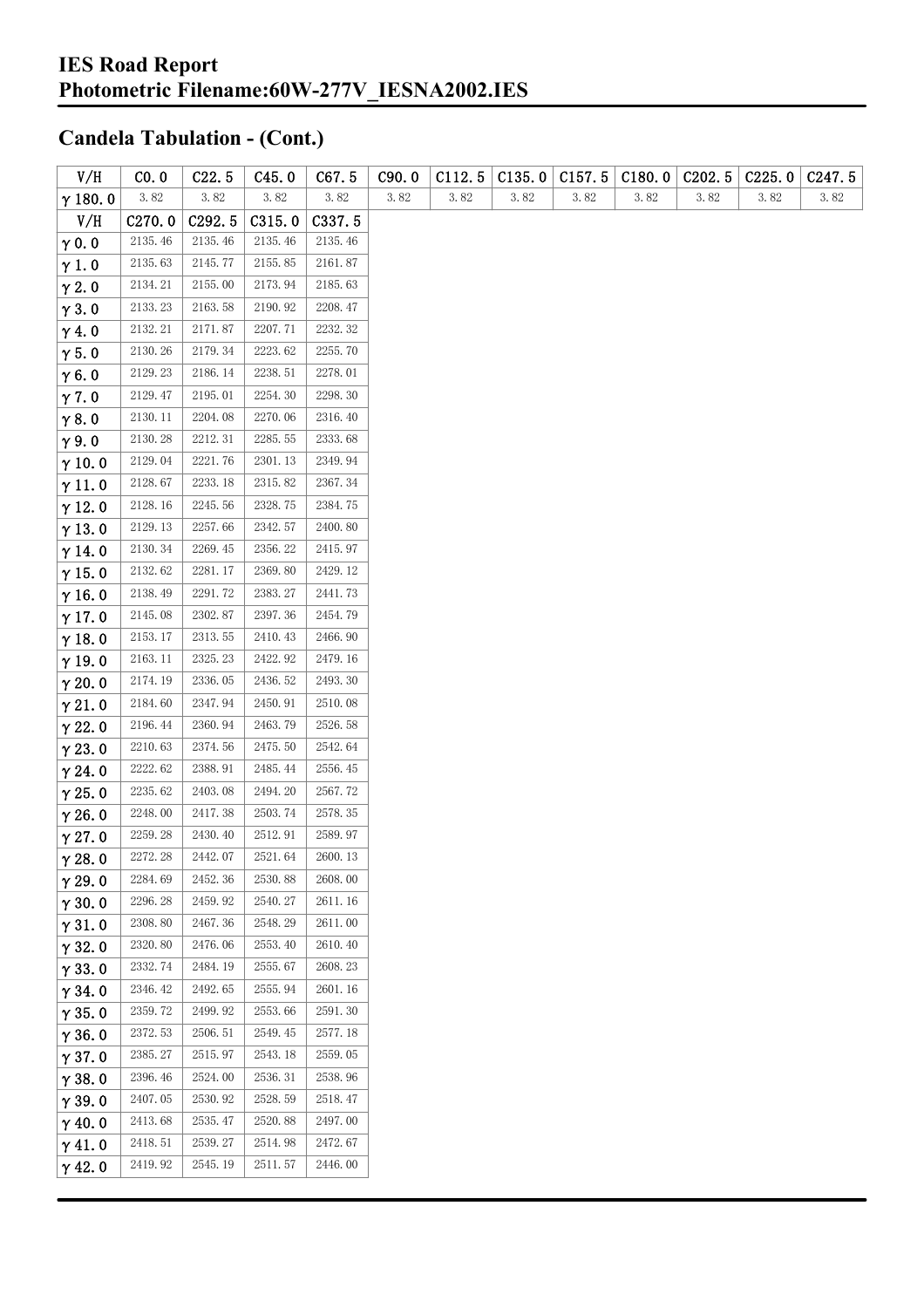| V/H            | CO.0               | C22.5              | C45.0   | C67.5   | C90.0 | C112.5               | C135.0 | C157.5 | C180.0 | C <sub>2</sub> 02.5 | C225.0 | C <sub>247.5</sub> |
|----------------|--------------------|--------------------|---------|---------|-------|----------------------|--------|--------|--------|---------------------|--------|--------------------|
| $\gamma$ 180.0 | 3.82               | 3.82               | 3.82    | 3.82    | 3.82  | $3.\,\allowbreak 82$ | 3.82   | 3.82   | 3.82   | 3.82                | 3.82   | 3.82               |
| V/H            | C <sub>270.0</sub> | C <sub>292.5</sub> | C315.0  | C337.5  |       |                      |        |        |        |                     |        |                    |
| $\gamma$ 0.0   | 2135.46            | 2135.46            | 2135.46 | 2135.46 |       |                      |        |        |        |                     |        |                    |
| $\gamma$ 1.0   | 2135.63            | 2145.77            | 2155.85 | 2161.87 |       |                      |        |        |        |                     |        |                    |
| $\gamma$ 2.0   | 2134.21            | 2155.00            | 2173.94 | 2185.63 |       |                      |        |        |        |                     |        |                    |
| $\gamma$ 3.0   | 2133.23            | 2163.58            | 2190.92 | 2208.47 |       |                      |        |        |        |                     |        |                    |
| $\gamma$ 4.0   | 2132.21            | 2171.87            | 2207.71 | 2232.32 |       |                      |        |        |        |                     |        |                    |
| $\gamma$ 5.0   | 2130.26            | 2179.34            | 2223.62 | 2255.70 |       |                      |        |        |        |                     |        |                    |
| $\gamma$ 6.0   | 2129.23            | 2186.14            | 2238.51 | 2278.01 |       |                      |        |        |        |                     |        |                    |
| $\gamma$ 7.0   | 2129.47            | 2195.01            | 2254.30 | 2298.30 |       |                      |        |        |        |                     |        |                    |
| $\gamma$ 8.0   | 2130.11            | 2204.08            | 2270.06 | 2316.40 |       |                      |        |        |        |                     |        |                    |
| $\gamma$ 9.0   | 2130.28            | 2212.31            | 2285.55 | 2333.68 |       |                      |        |        |        |                     |        |                    |
| $\gamma$ 10.0  | 2129.04            | 2221.76            | 2301.13 | 2349.94 |       |                      |        |        |        |                     |        |                    |
| $\gamma$ 11.0  | 2128.67            | 2233.18            | 2315.82 | 2367.34 |       |                      |        |        |        |                     |        |                    |
| $\gamma$ 12.0  | 2128.16            | 2245.56            | 2328.75 | 2384.75 |       |                      |        |        |        |                     |        |                    |
| $\gamma$ 13.0  | 2129.13            | 2257.66            | 2342.57 | 2400.80 |       |                      |        |        |        |                     |        |                    |
| $\gamma$ 14.0  | 2130.34            | 2269.45            | 2356.22 | 2415.97 |       |                      |        |        |        |                     |        |                    |
| $\gamma$ 15.0  | 2132.62            | 2281.17            | 2369.80 | 2429.12 |       |                      |        |        |        |                     |        |                    |
| $\gamma$ 16.0  | 2138.49            | 2291.72            | 2383.27 | 2441.73 |       |                      |        |        |        |                     |        |                    |
| $\gamma$ 17.0  | 2145.08            | 2302.87            | 2397.36 | 2454.79 |       |                      |        |        |        |                     |        |                    |
| $\gamma$ 18.0  | 2153.17            | 2313.55            | 2410.43 | 2466.90 |       |                      |        |        |        |                     |        |                    |
| $\gamma$ 19.0  | 2163.11            | 2325.23            | 2422.92 | 2479.16 |       |                      |        |        |        |                     |        |                    |
| $\gamma$ 20.0  | 2174.19            | 2336.05            | 2436.52 | 2493.30 |       |                      |        |        |        |                     |        |                    |
| $\gamma$ 21.0  | 2184.60            | 2347.94            | 2450.91 | 2510.08 |       |                      |        |        |        |                     |        |                    |
| $\gamma$ 22.0  | 2196.44            | 2360.94            | 2463.79 | 2526.58 |       |                      |        |        |        |                     |        |                    |
| $\gamma$ 23.0  | 2210.63            | 2374.56            | 2475.50 | 2542.64 |       |                      |        |        |        |                     |        |                    |
| $\gamma$ 24.0  | 2222.62            | 2388.91            | 2485.44 | 2556.45 |       |                      |        |        |        |                     |        |                    |
| $\gamma$ 25.0  | 2235.62            | 2403.08            | 2494.20 | 2567.72 |       |                      |        |        |        |                     |        |                    |
| $\gamma$ 26.0  | 2248.00            | 2417.38            | 2503.74 | 2578.35 |       |                      |        |        |        |                     |        |                    |
| $\gamma$ 27.0  | 2259.28            | 2430.40            | 2512.91 | 2589.97 |       |                      |        |        |        |                     |        |                    |
| $\gamma$ 28.0  | 2272.28            | 2442.07            | 2521.64 | 2600.13 |       |                      |        |        |        |                     |        |                    |
| $\gamma$ 29.0  | 2284.69            | 2452.36            | 2530.88 | 2608.00 |       |                      |        |        |        |                     |        |                    |
| $\gamma$ 30.0  | 2296.28            | 2459.92            | 2540.27 | 2611.16 |       |                      |        |        |        |                     |        |                    |
| $\gamma$ 31.0  | 2308.80            | 2467.36            | 2548.29 | 2611.00 |       |                      |        |        |        |                     |        |                    |
| $\gamma$ 32.0  | 2320.80            | 2476.06            | 2553.40 | 2610.40 |       |                      |        |        |        |                     |        |                    |
| $\gamma$ 33.0  | 2332.74            | 2484.19            | 2555.67 | 2608.23 |       |                      |        |        |        |                     |        |                    |
| $\gamma$ 34.0  | 2346.42            | 2492.65            | 2555.94 | 2601.16 |       |                      |        |        |        |                     |        |                    |
| $\gamma$ 35.0  | 2359.72            | 2499.92            | 2553.66 | 2591.30 |       |                      |        |        |        |                     |        |                    |
| $\gamma$ 36.0  | 2372.53            | 2506.51            | 2549.45 | 2577.18 |       |                      |        |        |        |                     |        |                    |
| $\gamma$ 37.0  | 2385.27            | 2515.97            | 2543.18 | 2559.05 |       |                      |        |        |        |                     |        |                    |
| $\gamma$ 38.0  | 2396.46            | 2524.00            | 2536.31 | 2538.96 |       |                      |        |        |        |                     |        |                    |
| $\gamma$ 39.0  | 2407.05            | 2530.92            | 2528.59 | 2518.47 |       |                      |        |        |        |                     |        |                    |
| $\gamma$ 40.0  | 2413.68            | 2535.47            | 2520.88 | 2497.00 |       |                      |        |        |        |                     |        |                    |
| $\gamma$ 41.0  | 2418.51            | 2539.27            | 2514.98 | 2472.67 |       |                      |        |        |        |                     |        |                    |
| $\gamma$ 42.0  | 2419.92            | 2545.19            | 2511.57 | 2446.00 |       |                      |        |        |        |                     |        |                    |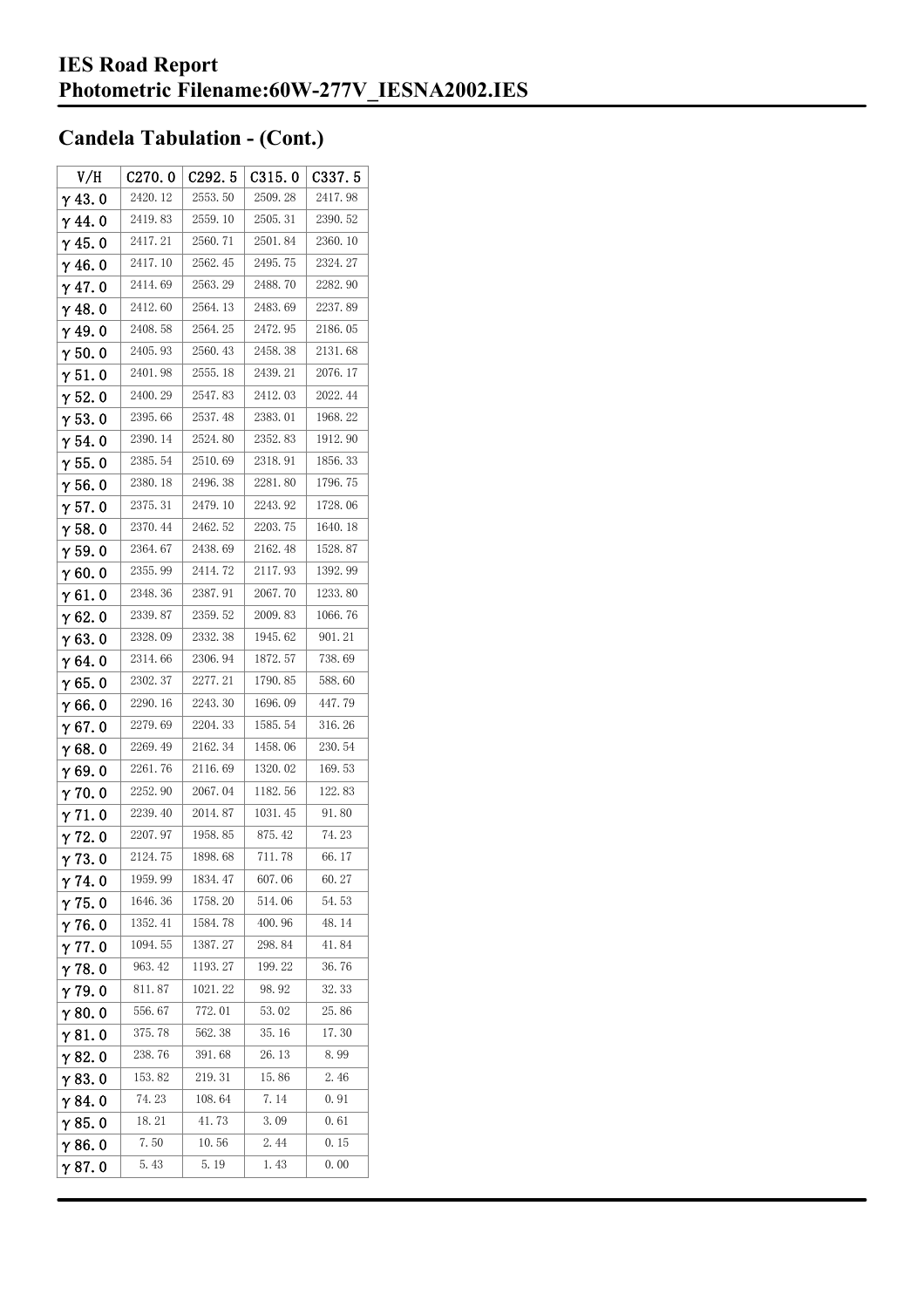| V/H            | C270.0  | C292.5  | C315.0  | C <sub>337.5</sub> |
|----------------|---------|---------|---------|--------------------|
| $\gamma$ 43. 0 | 2420.12 | 2553.50 | 2509.28 | 2417.98            |
| $\gamma$ 44.0  | 2419.83 | 2559.10 | 2505.31 | 2390.52            |
| $\gamma$ 45. 0 | 2417.21 | 2560.71 | 2501.84 | 2360.10            |
| γ46.0          | 2417.10 | 2562.45 | 2495.75 | 2324.27            |
| $\gamma$ 47. 0 | 2414.69 | 2563.29 | 2488.70 | 2282.90            |
| $\gamma$ 48.0  | 2412.60 | 2564.13 | 2483.69 | 2237.89            |
| γ49.0          | 2408.58 | 2564.25 | 2472.95 | 2186.05            |
| $\gamma$ 50. 0 | 2405.93 | 2560.43 | 2458.38 | 2131.68            |
| $\gamma$ 51. 0 | 2401.98 | 2555.18 | 2439.21 | 2076.17            |
| $\gamma$ 52. 0 | 2400.29 | 2547.83 | 2412.03 | 2022.44            |
| $\gamma$ 53. 0 | 2395.66 | 2537.48 | 2383.01 | 1968.22            |
| $\gamma$ 54. 0 | 2390.14 | 2524.80 | 2352.83 | 1912.90            |
| $\gamma$ 55. 0 | 2385.54 | 2510.69 | 2318.91 | 1856.33            |
| γ56.0          | 2380.18 | 2496.38 | 2281.80 | 1796.75            |
| γ57.0          | 2375.31 | 2479.10 | 2243.92 | 1728.06            |
| $\gamma$ 58.0  | 2370.44 | 2462.52 | 2203.75 | 1640.18            |
| $\gamma$ 59.0  | 2364.67 | 2438.69 | 2162.48 | 1528.87            |
| γ60.0          | 2355.99 | 2414.72 | 2117.93 | 1392.99            |
| $\gamma$ 61. 0 | 2348.36 | 2387.91 | 2067.70 | 1233.80            |
| $\gamma$ 62. 0 | 2339.87 | 2359.52 | 2009.83 | 1066.76            |
| $\gamma$ 63.0  | 2328.09 | 2332.38 | 1945.62 | 901.21             |
| γ64.0          | 2314.66 | 2306.94 | 1872.57 | 738.69             |
| γ65.0          | 2302.37 | 2277.21 | 1790.85 | 588.60             |
| γ66.0          | 2290.16 | 2243.30 | 1696.09 | 447.79             |
| $\gamma$ 67. 0 | 2279.69 | 2204.33 | 1585.54 | 316.26             |
| γ68.0          | 2269.49 | 2162.34 | 1458.06 | 230.54             |
| γ69.0          | 2261.76 | 2116.69 | 1320.02 | 169.53             |
| $\gamma$ 70. 0 | 2252.90 | 2067.04 | 1182.56 | 122.83             |
| $\gamma$ 71.0  | 2239.40 | 2014.87 | 1031.45 | 91.80              |
| $\gamma$ 72.0  | 2207.97 | 1958.85 | 875.42  | 74.23              |
| 73.0           | 2124.75 | 1898.68 | 711.78  | 66.17              |
| γ74.0          | 1959.99 | 1834.47 | 607.06  | 60.27              |
| $\gamma$ 75.0  | 1646.36 | 1758.20 | 514.06  | 54.53              |
| $\gamma$ 76. 0 | 1352.41 | 1584.78 | 400.96  | 48.14              |
| $\gamma$ 77. 0 | 1094.55 | 1387.27 | 298.84  | 41.84              |
| $\gamma$ 78.0  | 963.42  | 1193.27 | 199.22  | 36.76              |
| $\gamma$ 79.0  | 811.87  | 1021.22 | 98.92   | 32.33              |
| γ80.0          | 556.67  | 772.01  | 53.02   | 25.86              |
| γ81.0          | 375.78  | 562.38  | 35.16   | 17.30              |
| $\gamma$ 82. 0 | 238.76  | 391.68  | 26.13   | 8.99               |
| $\gamma$ 83. O | 153.82  | 219.31  | 15.86   | 2.46               |
| γ84. O         | 74.23   | 108.64  | 7.14    | 0.91               |
| γ85.0          | 18.21   | 41.73   | 3.09    | 0.61               |
| $\gamma$ 86.0  | 7.50    | 10.56   | 2.44    | 0.15               |
| γ87.0          | 5.43    | 5.19    | 1.43    | 0.00               |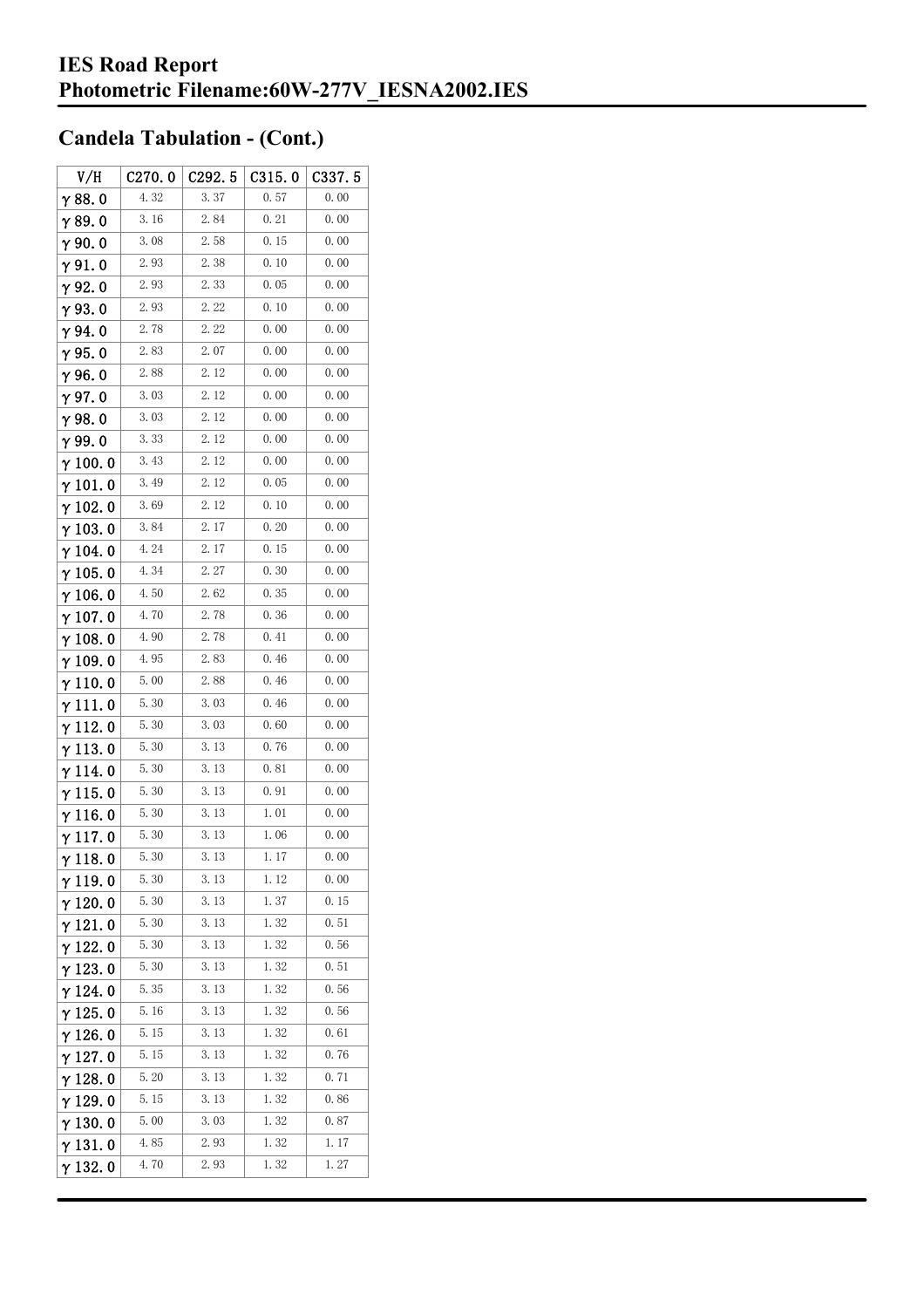| V/H             | C270.0 | C <sub>292.5</sub> | C315.0 | C337.5 |
|-----------------|--------|--------------------|--------|--------|
| $\gamma$ 88.0   | 4.32   | 3.37               | 0.57   | 0.00   |
| $\gamma$ 89.0   | 3.16   | 2.84               | 0.21   | 0.00   |
| $\gamma$ 90. 0  | 3.08   | 2.58               | 0.15   | 0.00   |
| $\gamma$ 91.0   | 2.93   | 2.38               | 0.10   | 0.00   |
| γ92.0           | 2.93   | 2.33               | 0.05   | 0.00   |
| $\gamma$ 93. O  | 2.93   | 2.22               | 0.10   | 0.00   |
| $\gamma$ 94.0   | 2.78   | 2.22               | 0.00   | 0.00   |
| $\gamma$ 95.0   | 2.83   | 2.07               | 0.00   | 0.00   |
| $\gamma$ 96.0   | 2.88   | 2.12               | 0.00   | 0.00   |
| γ97.0           | 3.03   | 2.12               | 0.00   | 0.00   |
| $\gamma$ 98.0   | 3.03   | 2.12               | 0.00   | 0.00   |
| γ99.0           | 3.33   | 2.12               | 0.00   | 0.00   |
| $\gamma$ 100.0  | 3.43   | 2.12               | 0.00   | 0.00   |
| $\gamma$ 101.0  | 3.49   | 2.12               | 0.05   | 0.00   |
| $\gamma$ 102.0  | 3.69   | 2.12               | 0.10   | 0.00   |
| $\gamma$ 103. 0 | 3.84   | 2.17               | 0.20   | 0.00   |
| $\gamma$ 104. 0 | 4.24   | 2.17               | 0.15   | 0.00   |
| $\gamma$ 105. 0 | 4.34   | 2.27               | 0.30   | 0.00   |
| $\gamma$ 106.0  | 4.50   | 2.62               | 0.35   | 0.00   |
| $\gamma$ 107. 0 | 4.70   | 2.78               | 0.36   | 0.00   |
| $\gamma$ 108. 0 | 4.90   | 2.78               | 0.41   | 0.00   |
| $\gamma$ 109.0  | 4.95   | 2.83               | 0.46   | 0.00   |
| $\gamma$ 110. 0 | 5.00   | 2.88               | 0.46   | 0.00   |
| γ111.0          | 5.30   | 3.03               | 0.46   | 0.00   |
| $\gamma$ 112. 0 | 5.30   | 3.03               | 0.60   | 0.00   |
| $\gamma$ 113. 0 | 5.30   | 3. 13              | 0.76   | 0.00   |
| $\gamma$ 114.0  | 5.30   | 3.13               | 0.81   | 0.00   |
| $\gamma$ 115. 0 | 5.30   | 3.13               | 0.91   | 0.00   |
| γ116.0          | 5.30   | 3.13               | 1.01   | 0.00   |
| $\gamma$ 117.0  | 5.30   | 3.13               | 1.06   | 0.00   |
| $\gamma$ 118.0  | 5.30   | 3. 13              | 1. 17  | 0.00   |
| $\gamma$ 119.0  | 5.30   | 3.13               | 1.12   | 0.00   |
| $\gamma$ 120.0  | 5.30   | 3.13               | 1.37   | 0.15   |
| $\gamma$ 121.0  | 5.30   | 3. 13              | 1.32   | 0.51   |
| $\gamma$ 122. 0 | 5.30   | 3. 13              | 1.32   | 0.56   |
| $\gamma$ 123.0  | 5.30   | 3. 13              | 1.32   | 0.51   |
| $\gamma$ 124.0  | 5.35   | 3.13               | 1.32   | 0.56   |
| $\gamma$ 125.0  | 5.16   | 3.13               | 1.32   | 0.56   |
| $\gamma$ 126. 0 | 5.15   | 3.13               | 1.32   | 0.61   |
| $\gamma$ 127.0  | 5.15   | 3. 13              | 1.32   | 0.76   |
| $\gamma$ 128.0  | 5.20   | 3. 13              | 1.32   | 0.71   |
| $\gamma$ 129.0  | 5.15   | 3. 13              | 1.32   | 0.86   |
| $\gamma$ 130.0  | 5.00   | 3.03               | 1.32   | 0.87   |
| $\gamma$ 131.0  | 4.85   | 2.93               | 1.32   | 1.17   |
| $\gamma$ 132. 0 | 4.70   | 2.93               | 1.32   | 1.27   |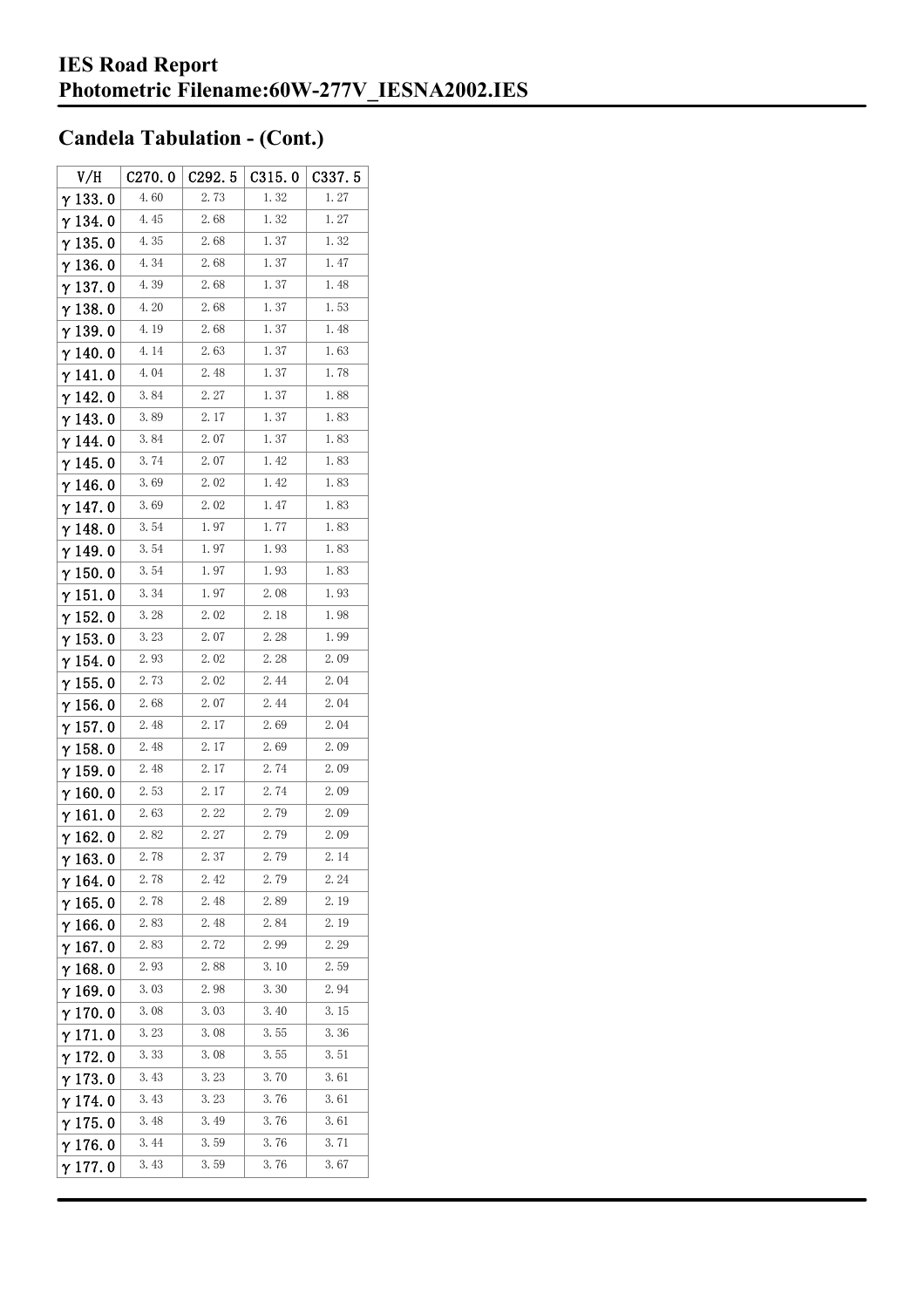| V/H             | C270.0 | C <sub>292.5</sub>   | C315.0 | C337. 5 |
|-----------------|--------|----------------------|--------|---------|
| $\gamma$ 133.0  | 4.60   | 2. 73                | 1.32   | 1.27    |
| $\gamma$ 134.0  | 4.45   | 2.68                 | 1.32   | 1.27    |
| $\gamma$ 135. 0 | 4.35   | 2.68                 | 1.37   | 1.32    |
| $\gamma$ 136. 0 | 4.34   | 2.68                 | 1.37   | 1.47    |
| $\gamma$ 137.0  | 4.39   | 2.68                 | 1.37   | 1.48    |
| $\gamma$ 138. 0 | 4.20   | 2.68                 | 1.37   | 1.53    |
| $\gamma$ 139. 0 | 4.19   | 2.68                 | 1.37   | 1.48    |
| $\gamma$ 140.0  | 4.14   | 2.63                 | 1.37   | 1.63    |
| $\gamma$ 141.0  | 4.04   | 2.48                 | 1.37   | 1.78    |
| $\gamma$ 142.0  | 3.84   | 2.27                 | 1.37   | 1.88    |
| γ143.0          | 3.89   | 2.17                 | 1.37   | 1.83    |
| γ144.0          | 3.84   | 2.07                 | 1.37   | 1.83    |
| γ 145. 0        | 3.74   | 2.07                 | 1.42   | 1.83    |
| $\gamma$ 146. 0 | 3.69   | $2.\,\allowbreak 02$ | 1.42   | 1.83    |
| γ147.0          | 3.69   | 2.02                 | 1.47   | 1.83    |
| $\gamma$ 148. 0 | 3.54   | 1.97                 | 1.77   | 1.83    |
| $\gamma$ 149.0  | 3.54   | 1.97                 | 1.93   | 1.83    |
| $\gamma$ 150. 0 | 3.54   | 1.97                 | 1.93   | 1.83    |
| $\gamma$ 151.0  | 3.34   | 1.97                 | 2.08   | 1.93    |
| $\gamma$ 152.0  | 3.28   | 2.02                 | 2.18   | 1.98    |
| $\gamma$ 153. 0 | 3.23   | 2.07                 | 2.28   | 1.99    |
| γ 154. 0        | 2.93   | 2.02                 | 2.28   | 2.09    |
| $\gamma$ 155. 0 | 2.73   | 2.02                 | 2.44   | 2.04    |
| $\gamma$ 156. 0 | 2.68   | 2.07                 | 2.44   | 2.04    |
| $\gamma$ 157. 0 | 2.48   | 2. 17                | 2.69   | 2.04    |
| $\gamma$ 158.0  | 2.48   | 2. 17                | 2.69   | 2.09    |
| $\gamma$ 159.0  | 2.48   | 2.17                 | 2.74   | 2.09    |
| $\gamma$ 160.0  | 2.53   | 2.17                 | 2.74   | 2.09    |
| $\gamma$ 161.0  | 2.63   | 2.22                 | 2.79   | 2.09    |
| $\gamma$ 162.0  | 2.82   | 2.27                 | 2.79   | 2.09    |
| $\gamma$ 163.0  | 2.78   | 2.37                 | 2.79   | 2.14    |
| $\gamma$ 164.0  | 2.78   | 2.42                 | 2.79   | 2. 24   |
| $\gamma$ 165.0  | 2.78   | 2.48                 | 2.89   | 2.19    |
| $\gamma$ 166.0  | 2.83   | 2.48                 | 2.84   | 2.19    |
| $\gamma$ 167.0  | 2.83   | 2.72                 | 2.99   | 2.29    |
| $\gamma$ 168.0  | 2.93   | 2.88                 | 3.10   | 2.59    |
| γ169.0          | 3.03   | 2.98                 | 3.30   | 2.94    |
| $\gamma$ 170.0  | 3.08   | 3.03                 | 3.40   | 3.15    |
| $\gamma$ 171. 0 | 3.23   | 3.08                 | 3.55   | 3.36    |
| $\gamma$ 172. 0 | 3.33   | 3.08                 | 3.55   | 3.51    |
| $\gamma$ 173.0  | 3.43   | 3. 23                | 3.70   | 3.61    |
| γ 174. 0        | 3.43   | 3.23                 | 3.76   | 3.61    |
| $\gamma$ 175.0  | 3.48   | 3.49                 | 3.76   | 3.61    |
| γ176.0          | 3.44   | 3.59                 | 3.76   | 3.71    |
| γ177.0          | 3.43   | 3.59                 | 3.76   | 3.67    |